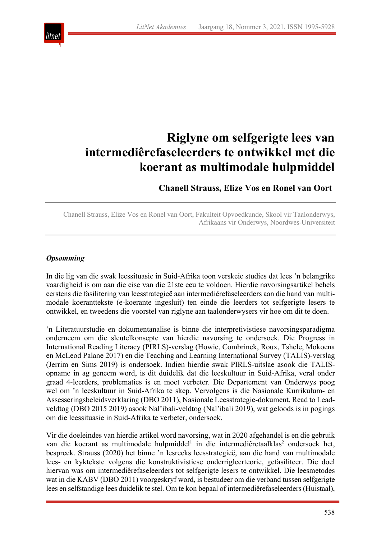

# **Riglyne om selfgerigte lees van intermediêrefaseleerders te ontwikkel met die koerant as multimodale hulpmiddel**

**Chanell Strauss, Elize Vos en Ronel van Oort**

Chanell Strauss, Elize Vos en Ronel van Oort, Fakulteit Opvoedkunde, Skool vir Taalonderwys, Afrikaans vir Onderwys, Noordwes-Universiteit

# *Opsomming*

In die lig van die swak leessituasie in Suid-Afrika toon verskeie studies dat lees 'n belangrike vaardigheid is om aan die eise van die 21ste eeu te voldoen. Hierdie navorsingsartikel behels eerstens die fasilitering van leesstrategieë aan intermediêrefaseleerders aan die hand van multimodale koeranttekste (e-koerante ingesluit) ten einde die leerders tot selfgerigte lesers te ontwikkel, en tweedens die voorstel van riglyne aan taalonderwysers vir hoe om dit te doen.

'n Literatuurstudie en dokumentanalise is binne die interpretivistiese navorsingsparadigma onderneem om die sleutelkonsepte van hierdie navorsing te ondersoek. Die Progress in International Reading Literacy (PIRLS)-verslag (Howie, Combrinck, Roux, Tshele, Mokoena en McLeod Palane 2017) en die Teaching and Learning International Survey (TALIS)-verslag (Jerrim en Sims 2019) is ondersoek. Indien hierdie swak PIRLS-uitslae asook die TALISopname in ag geneem word, is dit duidelik dat die leeskultuur in Suid-Afrika, veral onder graad 4-leerders, problematies is en moet verbeter. Die Departement van Onderwys poog wel om 'n leeskultuur in Suid-Afrika te skep. Vervolgens is die Nasionale Kurrikulum- en Assesseringsbeleidsverklaring (DBO 2011), Nasionale Leesstrategie-dokument, Read to Leadveldtog (DBO 2015 2019) asook Nal'ibali-veldtog (Nal'ibali 2019), wat geloods is in pogings om die leessituasie in Suid-Afrika te verbeter, ondersoek.

Vir die doeleindes van hierdie artikel word navorsing, wat in 2020 afgehandel is en die gebruik van die koerant as multimodale hulpmiddel<sup>1</sup> in die intermediêretaalklas<sup>2</sup> ondersoek het, bespreek. Strauss (2020) het binne 'n lesreeks leesstrategieë, aan die hand van multimodale lees- en kyktekste volgens die konstruktivistiese onderrigleerteorie, gefasiliteer. Die doel hiervan was om intermediêrefaseleerders tot selfgerigte lesers te ontwikkel. Die leesmetodes wat in die KABV (DBO 2011) voorgeskryf word, is bestudeer om die verband tussen selfgerigte lees en selfstandige lees duidelik te stel. Om te kon bepaal of intermediêrefaseleerders (Huistaal),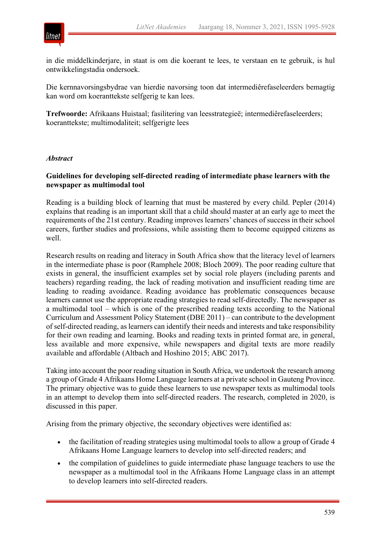

in die middelkinderjare, in staat is om die koerant te lees, te verstaan en te gebruik, is hul ontwikkelingstadia ondersoek.

Die kernnavorsingsbydrae van hierdie navorsing toon dat intermediêrefaseleerders bemagtig kan word om koeranttekste selfgerig te kan lees.

**Trefwoorde:** Afrikaans Huistaal; fasilitering van leesstrategieë; intermediêrefaseleerders; koeranttekste; multimodaliteit; selfgerigte lees

#### *Abstract*

#### **Guidelines for developing self-directed reading of intermediate phase learners with the newspaper as multimodal tool**

Reading is a building block of learning that must be mastered by every child. Pepler (2014) explains that reading is an important skill that a child should master at an early age to meet the requirements of the 21st century. Reading improves learners' chances of success in their school careers, further studies and professions, while assisting them to become equipped citizens as well.

Research results on reading and literacy in South Africa show that the literacy level of learners in the intermediate phase is poor (Ramphele 2008; Bloch 2009). The poor reading culture that exists in general, the insufficient examples set by social role players (including parents and teachers) regarding reading, the lack of reading motivation and insufficient reading time are leading to reading avoidance. Reading avoidance has problematic consequences because learners cannot use the appropriate reading strategies to read self-directedly. The newspaper as a multimodal tool – which is one of the prescribed reading texts according to the National Curriculum and Assessment Policy Statement (DBE 2011) – can contribute to the development of self-directed reading, as learners can identify their needs and interests and take responsibility for their own reading and learning. Books and reading texts in printed format are, in general, less available and more expensive, while newspapers and digital texts are more readily available and affordable (Altbach and Hoshino 2015; ABC 2017).

Taking into account the poor reading situation in South Africa, we undertook the research among a group of Grade 4 Afrikaans Home Language learners at a private school in Gauteng Province. The primary objective was to guide these learners to use newspaper texts as multimodal tools in an attempt to develop them into self-directed readers. The research, completed in 2020, is discussed in this paper.

Arising from the primary objective, the secondary objectives were identified as:

- the facilitation of reading strategies using multimodal tools to allow a group of Grade 4 Afrikaans Home Language learners to develop into self-directed readers; and
- the compilation of guidelines to guide intermediate phase language teachers to use the newspaper as a multimodal tool in the Afrikaans Home Language class in an attempt to develop learners into self-directed readers.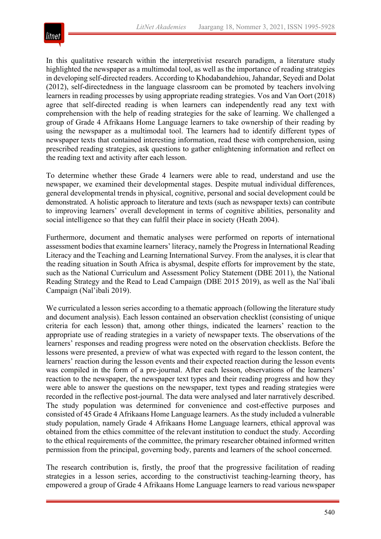

In this qualitative research within the interpretivist research paradigm, a literature study highlighted the newspaper as a multimodal tool, as well as the importance of reading strategies in developing self-directed readers. According to Khodabandehiou, Jahandar, Seyedi and Dolat (2012), self-directedness in the language classroom can be promoted by teachers involving learners in reading processes by using appropriate reading strategies. Vos and Van Oort (2018) agree that self-directed reading is when learners can independently read any text with comprehension with the help of reading strategies for the sake of learning. We challenged a group of Grade 4 Afrikaans Home Language learners to take ownership of their reading by using the newspaper as a multimodal tool. The learners had to identify different types of newspaper texts that contained interesting information, read these with comprehension, using prescribed reading strategies, ask questions to gather enlightening information and reflect on the reading text and activity after each lesson.

To determine whether these Grade 4 learners were able to read, understand and use the newspaper, we examined their developmental stages. Despite mutual individual differences, general developmental trends in physical, cognitive, personal and social development could be demonstrated. A holistic approach to literature and texts (such as newspaper texts) can contribute to improving learners' overall development in terms of cognitive abilities, personality and social intelligence so that they can fulfil their place in society (Heath 2004).

Furthermore, document and thematic analyses were performed on reports of international assessment bodies that examine learners' literacy, namely the Progress in International Reading Literacy and the Teaching and Learning International Survey. From the analyses, it is clear that the reading situation in South Africa is abysmal, despite efforts for improvement by the state, such as the National Curriculum and Assessment Policy Statement (DBE 2011), the National Reading Strategy and the Read to Lead Campaign (DBE 2015 2019), as well as the Nal'ibali Campaign (Nal'ibali 2019).

We curriculated a lesson series according to a thematic approach (following the literature study and document analysis). Each lesson contained an observation checklist (consisting of unique criteria for each lesson) that, among other things, indicated the learners' reaction to the appropriate use of reading strategies in a variety of newspaper texts. The observations of the learners' responses and reading progress were noted on the observation checklists. Before the lessons were presented, a preview of what was expected with regard to the lesson content, the learners' reaction during the lesson events and their expected reaction during the lesson events was compiled in the form of a pre-journal. After each lesson, observations of the learners' reaction to the newspaper, the newspaper text types and their reading progress and how they were able to answer the questions on the newspaper, text types and reading strategies were recorded in the reflective post-journal. The data were analysed and later narratively described. The study population was determined for convenience and cost-effective purposes and consisted of 45 Grade 4 Afrikaans Home Language learners. As the study included a vulnerable study population, namely Grade 4 Afrikaans Home Language learners, ethical approval was obtained from the ethics committee of the relevant institution to conduct the study. According to the ethical requirements of the committee, the primary researcher obtained informed written permission from the principal, governing body, parents and learners of the school concerned.

The research contribution is, firstly, the proof that the progressive facilitation of reading strategies in a lesson series, according to the constructivist teaching-learning theory, has empowered a group of Grade 4 Afrikaans Home Language learners to read various newspaper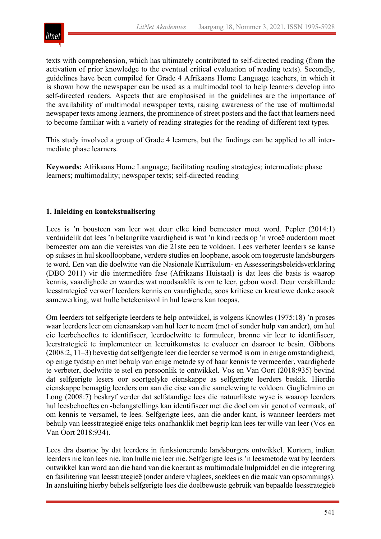

texts with comprehension, which has ultimately contributed to self-directed reading (from the activation of prior knowledge to the eventual critical evaluation of reading texts). Secondly, guidelines have been compiled for Grade 4 Afrikaans Home Language teachers, in which it is shown how the newspaper can be used as a multimodal tool to help learners develop into self-directed readers. Aspects that are emphasised in the guidelines are the importance of the availability of multimodal newspaper texts, raising awareness of the use of multimodal newspaper texts among learners, the prominence of street posters and the fact that learners need to become familiar with a variety of reading strategies for the reading of different text types.

This study involved a group of Grade 4 learners, but the findings can be applied to all intermediate phase learners.

**Keywords:** Afrikaans Home Language; facilitating reading strategies; intermediate phase learners; multimodality; newspaper texts; self-directed reading

#### **1. Inleiding en kontekstualisering**

Lees is 'n bousteen van leer wat deur elke kind bemeester moet word. Pepler (2014:1) verduidelik dat lees 'n belangrike vaardigheid is wat 'n kind reeds op 'n vroeë ouderdom moet bemeester om aan die vereistes van die 21ste eeu te voldoen. Lees verbeter leerders se kanse op sukses in hul skoolloopbane, verdere studies en loopbane, asook om toegeruste landsburgers te word. Een van die doelwitte van die Nasionale Kurrikulum- en Assesseringsbeleidsverklaring (DBO 2011) vir die intermediêre fase (Afrikaans Huistaal) is dat lees die basis is waarop kennis, vaardighede en waardes wat noodsaaklik is om te leer, gebou word. Deur verskillende leesstrategieë verwerf leerders kennis en vaardighede, soos kritiese en kreatiewe denke asook samewerking, wat hulle betekenisvol in hul lewens kan toepas.

Om leerders tot selfgerigte leerders te help ontwikkel, is volgens Knowles (1975:18) 'n proses waar leerders leer om eienaarskap van hul leer te neem (met of sonder hulp van ander), om hul eie leerbehoeftes te identifiseer, leerdoelwitte te formuleer, bronne vir leer te identifiseer, leerstrategieë te implementeer en leeruitkomstes te evalueer en daaroor te besin. Gibbons (2008:2, 11–3) bevestig dat selfgerigte leer die leerder se vermoë is om in enige omstandigheid, op enige tydstip en met behulp van enige metode sy of haar kennis te vermeerder, vaardighede te verbeter, doelwitte te stel en persoonlik te ontwikkel. Vos en Van Oort (2018:935) bevind dat selfgerigte lesers oor soortgelyke eienskappe as selfgerigte leerders beskik. Hierdie eienskappe bemagtig leerders om aan die eise van die samelewing te voldoen. Guglielmino en Long (2008:7) beskryf verder dat selfstandige lees die natuurlikste wyse is waarop leerders hul leesbehoeftes en -belangstellings kan identifiseer met die doel om vir genot of vermaak, of om kennis te versamel, te lees. Selfgerigte lees, aan die ander kant, is wanneer leerders met behulp van leesstrategieë enige teks onafhanklik met begrip kan lees ter wille van leer (Vos en Van Oort 2018:934).

Lees dra daartoe by dat leerders in funksionerende landsburgers ontwikkel. Kortom, indien leerders nie kan lees nie, kan hulle nie leer nie. Selfgerigte lees is 'n leesmetode wat by leerders ontwikkel kan word aan die hand van die koerant as multimodale hulpmiddel en die integrering en fasilitering van leesstrategieë (onder andere vluglees, soeklees en die maak van opsommings). In aansluiting hierby behels selfgerigte lees die doelbewuste gebruik van bepaalde leesstrategieë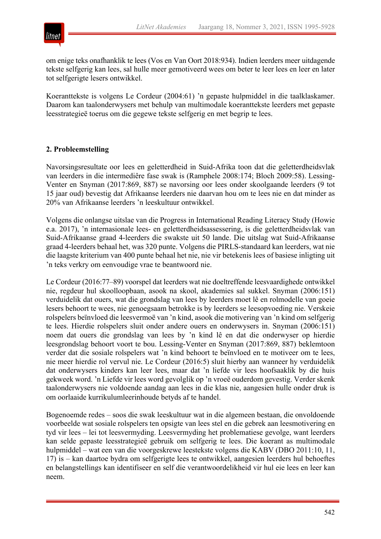

om enige teks onafhanklik te lees (Vos en Van Oort 2018:934). Indien leerders meer uitdagende tekste selfgerig kan lees, sal hulle meer gemotiveerd wees om beter te leer lees en leer en later tot selfgerigte lesers ontwikkel.

Koeranttekste is volgens Le Cordeur (2004:61) 'n gepaste hulpmiddel in die taalklaskamer. Daarom kan taalonderwysers met behulp van multimodale koeranttekste leerders met gepaste leesstrategieë toerus om die gegewe tekste selfgerig en met begrip te lees.

#### **2. Probleemstelling**

Navorsingsresultate oor lees en geletterdheid in Suid-Afrika toon dat die geletterdheidsvlak van leerders in die intermediêre fase swak is (Ramphele 2008:174; Bloch 2009:58). Lessing-Venter en Snyman (2017:869, 887) se navorsing oor lees onder skoolgaande leerders (9 tot 15 jaar oud) bevestig dat Afrikaanse leerders nie daarvan hou om te lees nie en dat minder as 20% van Afrikaanse leerders 'n leeskultuur ontwikkel.

Volgens die onlangse uitslae van die Progress in International Reading Literacy Study (Howie e.a. 2017), 'n internasionale lees- en geletterdheidsassessering, is die geletterdheidsvlak van Suid-Afrikaanse graad 4-leerders die swakste uit 50 lande. Die uitslag wat Suid-Afrikaanse graad 4-leerders behaal het, was 320 punte. Volgens die PIRLS-standaard kan leerders, wat nie die laagste kriterium van 400 punte behaal het nie, nie vir betekenis lees of basiese inligting uit 'n teks verkry om eenvoudige vrae te beantwoord nie.

Le Cordeur (2016:77–89) voorspel dat leerders wat nie doeltreffende leesvaardighede ontwikkel nie, regdeur hul skoolloopbaan, asook na skool, akademies sal sukkel. Snyman (2006:151) verduidelik dat ouers, wat die grondslag van lees by leerders moet lê en rolmodelle van goeie lesers behoort te wees, nie genoegsaam betrokke is by leerders se leesopvoeding nie. Verskeie rolspelers beïnvloed die leesvermoë van 'n kind, asook die motivering van 'n kind om selfgerig te lees. Hierdie rolspelers sluit onder andere ouers en onderwysers in. Snyman (2006:151) noem dat ouers die grondslag van lees by 'n kind lê en dat die onderwyser op hierdie leesgrondslag behoort voort te bou. Lessing-Venter en Snyman (2017:869, 887) beklemtoon verder dat die sosiale rolspelers wat 'n kind behoort te beïnvloed en te motiveer om te lees, nie meer hierdie rol vervul nie. Le Cordeur (2016:5) sluit hierby aan wanneer hy verduidelik dat onderwysers kinders kan leer lees, maar dat 'n liefde vir lees hoofsaaklik by die huis gekweek word. 'n Liefde vir lees word gevolglik op 'n vroeë ouderdom gevestig. Verder skenk taalonderwysers nie voldoende aandag aan lees in die klas nie, aangesien hulle onder druk is om oorlaaide kurrikulumleerinhoude betyds af te handel.

Bogenoemde redes – soos die swak leeskultuur wat in die algemeen bestaan, die onvoldoende voorbeelde wat sosiale rolspelers ten opsigte van lees stel en die gebrek aan leesmotivering en tyd vir lees – lei tot leesvermyding. Leesvermyding het problematiese gevolge, want leerders kan selde gepaste leesstrategieë gebruik om selfgerig te lees. Die koerant as multimodale hulpmiddel – wat een van die voorgeskrewe leestekste volgens die KABV (DBO 2011:10, 11, 17) is – kan daartoe bydra om selfgerigte lees te ontwikkel, aangesien leerders hul behoeftes en belangstellings kan identifiseer en self die verantwoordelikheid vir hul eie lees en leer kan neem.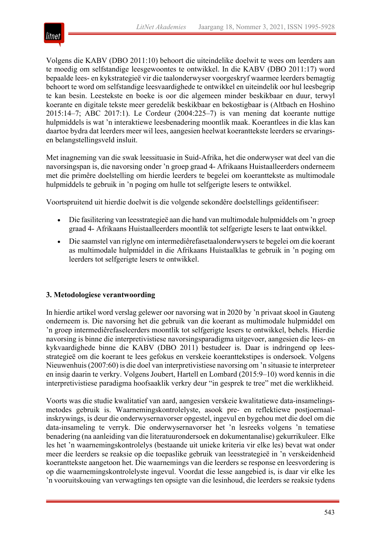

Volgens die KABV (DBO 2011:10) behoort die uiteindelike doelwit te wees om leerders aan te moedig om selfstandige leesgewoontes te ontwikkel. In die KABV (DBO 2011:17) word bepaalde lees- en kykstrategieë vir die taalonderwyser voorgeskryf waarmee leerders bemagtig behoort te word om selfstandige leesvaardighede te ontwikkel en uiteindelik oor hul leesbegrip te kan besin. Leestekste en boeke is oor die algemeen minder beskikbaar en duur, terwyl koerante en digitale tekste meer geredelik beskikbaar en bekostigbaar is (Altbach en Hoshino 2015:14–7; ABC 2017:1). Le Cordeur (2004:225–7) is van mening dat koerante nuttige hulpmiddels is wat 'n interaktiewe leesbenadering moontlik maak. Koerantlees in die klas kan daartoe bydra dat leerders meer wil lees, aangesien heelwat koeranttekste leerders se ervaringsen belangstellingsveld insluit.

Met inagneming van die swak leessituasie in Suid-Afrika, het die onderwyser wat deel van die navorsingspan is, die navorsing onder 'n groep graad 4- Afrikaans Huistaalleerders onderneem met die primêre doelstelling om hierdie leerders te begelei om koeranttekste as multimodale hulpmiddels te gebruik in 'n poging om hulle tot selfgerigte lesers te ontwikkel.

Voortspruitend uit hierdie doelwit is die volgende sekondêre doelstellings geïdentifiseer:

- Die fasilitering van leesstrategieë aan die hand van multimodale hulpmiddels om 'n groep graad 4- Afrikaans Huistaalleerders moontlik tot selfgerigte lesers te laat ontwikkel.
- Die saamstel van riglyne om intermediêrefasetaalonderwysers te begelei om die koerant as multimodale hulpmiddel in die Afrikaans Huistaalklas te gebruik in 'n poging om leerders tot selfgerigte lesers te ontwikkel.

#### **3. Metodologiese verantwoording**

In hierdie artikel word verslag gelewer oor navorsing wat in 2020 by 'n privaat skool in Gauteng onderneem is. Die navorsing het die gebruik van die koerant as multimodale hulpmiddel om 'n groep intermediêrefaseleerders moontlik tot selfgerigte lesers te ontwikkel, behels. Hierdie navorsing is binne die interpretivistiese navorsingsparadigma uitgevoer, aangesien die lees- en kykvaardighede binne die KABV (DBO 2011) bestudeer is. Daar is indringend op leesstrategieë om die koerant te lees gefokus en verskeie koeranttekstipes is ondersoek. Volgens Nieuwenhuis (2007:60) is die doel van interpretivistiese navorsing om 'n situasie te interpreteer en insig daarin te verkry. Volgens Joubert, Hartell en Lombard (2015:9–10) word kennis in die interpretivistiese paradigma hoofsaaklik verkry deur "in gesprek te tree" met die werklikheid.

Voorts was die studie kwalitatief van aard, aangesien verskeie kwalitatiewe data-insamelingsmetodes gebruik is. Waarnemingskontrolelyste, asook pre- en reflektiewe postjoernaalinskrywings, is deur die onderwysernavorser opgestel, ingevul en bygehou met die doel om die data-insameling te verryk. Die onderwysernavorser het 'n lesreeks volgens 'n tematiese benadering (na aanleiding van die literatuurondersoek en dokumentanalise) gekurrikuleer. Elke les het 'n waarnemingskontrolelys (bestaande uit unieke kriteria vir elke les) bevat wat onder meer die leerders se reaksie op die toepaslike gebruik van leesstrategieë in 'n verskeidenheid koeranttekste aangetoon het. Die waarnemings van die leerders se response en leesvordering is op die waarnemingskontrolelyste ingevul. Voordat die lesse aangebied is, is daar vir elke les 'n vooruitskouing van verwagtings ten opsigte van die lesinhoud, die leerders se reaksie tydens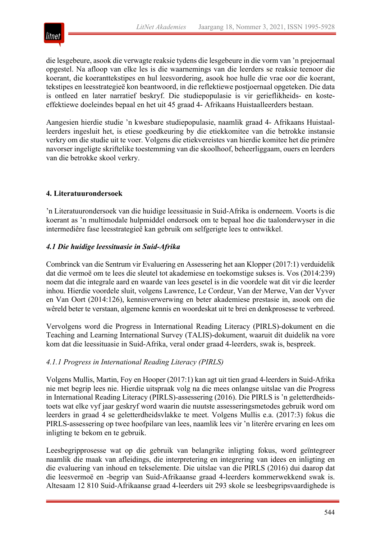

die lesgebeure, asook die verwagte reaksie tydens die lesgebeure in die vorm van 'n prejoernaal opgestel. Na afloop van elke les is die waarnemings van die leerders se reaksie teenoor die koerant, die koeranttekstipes en hul leesvordering, asook hoe hulle die vrae oor die koerant, tekstipes en leesstrategieë kon beantwoord, in die reflektiewe postjoernaal opgeteken. Die data is ontleed en later narratief beskryf. Die studiepopulasie is vir gerieflikheids- en kosteeffektiewe doeleindes bepaal en het uit 45 graad 4- Afrikaans Huistaalleerders bestaan.

Aangesien hierdie studie 'n kwesbare studiepopulasie, naamlik graad 4- Afrikaans Huistaalleerders ingesluit het, is etiese goedkeuring by die etiekkomitee van die betrokke instansie verkry om die studie uit te voer. Volgens die etiekvereistes van hierdie komitee het die primêre navorser ingeligte skriftelike toestemming van die skoolhoof, beheerliggaam, ouers en leerders van die betrokke skool verkry.

# **4. Literatuurondersoek**

'n Literatuurondersoek van die huidige leessituasie in Suid-Afrika is onderneem. Voorts is die koerant as 'n multimodale hulpmiddel ondersoek om te bepaal hoe die taalonderwyser in die intermediêre fase leesstrategieë kan gebruik om selfgerigte lees te ontwikkel.

# *4.1 Die huidige leessituasie in Suid-Afrika*

Combrinck van die Sentrum vir Evaluering en Assessering het aan Klopper (2017:1) verduidelik dat die vermoë om te lees die sleutel tot akademiese en toekomstige sukses is. Vos (2014:239) noem dat die integrale aard en waarde van lees gesetel is in die voordele wat dit vir die leerder inhou. Hierdie voordele sluit, volgens Lawrence, Le Cordeur, Van der Merwe, Van der Vyver en Van Oort (2014:126), kennisverwerwing en beter akademiese prestasie in, asook om die wêreld beter te verstaan, algemene kennis en woordeskat uit te brei en denkprosesse te verbreed.

Vervolgens word die Progress in International Reading Literacy (PIRLS)-dokument en die Teaching and Learning International Survey (TALIS)-dokument, waaruit dit duidelik na vore kom dat die leessituasie in Suid-Afrika, veral onder graad 4-leerders, swak is, bespreek.

#### *4.1.1 Progress in International Reading Literacy (PIRLS)*

Volgens Mullis, Martin, Foy en Hooper (2017:1) kan agt uit tien graad 4-leerders in Suid-Afrika nie met begrip lees nie. Hierdie uitspraak volg na die mees onlangse uitslae van die Progress in International Reading Literacy (PIRLS)-assessering (2016). Die PIRLS is 'n geletterdheidstoets wat elke vyf jaar geskryf word waarin die nuutste assesseringsmetodes gebruik word om leerders in graad 4 se geletterdheidsvlakke te meet. Volgens Mullis e.a. (2017:3) fokus die PIRLS-assessering op twee hoofpilare van lees, naamlik lees vir 'n literêre ervaring en lees om inligting te bekom en te gebruik.

Leesbegripprosesse wat op die gebruik van belangrike inligting fokus, word geïntegreer naamlik die maak van afleidings, die interpretering en integrering van idees en inligting en die evaluering van inhoud en tekselemente. Die uitslae van die PIRLS (2016) dui daarop dat die leesvermoë en -begrip van Suid-Afrikaanse graad 4-leerders kommerwekkend swak is. Altesaam 12 810 Suid-Afrikaanse graad 4-leerders uit 293 skole se leesbegripsvaardighede is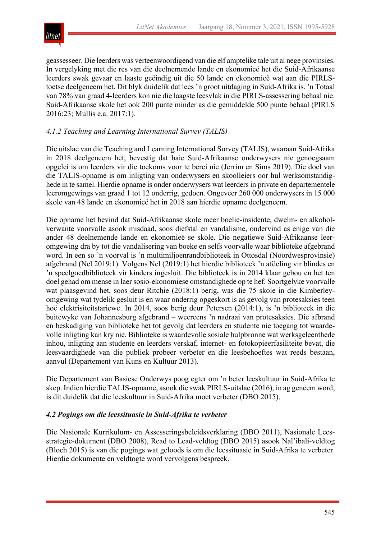

geassesseer. Die leerders was verteenwoordigend van die elf amptelike tale uit al nege provinsies. In vergelyking met die res van die deelnemende lande en ekonomieë het die Suid-Afrikaanse leerders swak gevaar en laaste geëindig uit die 50 lande en ekonomieë wat aan die PIRLStoetse deelgeneem het. Dit blyk duidelik dat lees 'n groot uitdaging in Suid-Afrika is. 'n Totaal van 78% van graad 4-leerders kon nie die laagste leesvlak in die PIRLS-assessering behaal nie. Suid-Afrikaanse skole het ook 200 punte minder as die gemiddelde 500 punte behaal (PIRLS 2016:23; Mullis e.a. 2017:1).

# *4.1.2 Teaching and Learning International Survey (TALIS)*

Die uitslae van die Teaching and Learning International Survey (TALIS), waaraan Suid-Afrika in 2018 deelgeneem het, bevestig dat baie Suid-Afrikaanse onderwysers nie genoegsaam opgelei is om leerders vir die toekoms voor te berei nie (Jerrim en Sims 2019). Die doel van die TALIS-opname is om inligting van onderwysers en skoolleiers oor hul werksomstandighede in te samel. Hierdie opname is onder onderwysers wat leerders in private en departementele leeromgewings van graad 1 tot 12 onderrig, gedoen. Ongeveer 260 000 onderwysers in 15 000 skole van 48 lande en ekonomieë het in 2018 aan hierdie opname deelgeneem.

Die opname het bevind dat Suid-Afrikaanse skole meer boelie-insidente, dwelm- en alkoholverwante voorvalle asook misdaad, soos diefstal en vandalisme, ondervind as enige van die ander 48 deelnemende lande en ekonomieë se skole. Die negatiewe Suid-Afrikaanse leeromgewing dra by tot die vandalisering van boeke en selfs voorvalle waar biblioteke afgebrand word. In een so 'n voorval is 'n multimiljoenrandbiblioteek in Ottosdal (Noordwesprovinsie) afgebrand (Nel 2019:1). Volgens Nel (2019:1) het hierdie biblioteek 'n afdeling vir blindes en 'n speelgoedbiblioteek vir kinders ingesluit. Die biblioteek is in 2014 klaar gebou en het ten doel gehad om mense in laer sosio-ekonomiese omstandighede op te hef. Soortgelyke voorvalle wat plaasgevind het, soos deur Ritchie (2018:1) berig, was die 75 skole in die Kimberleyomgewing wat tydelik gesluit is en waar onderrig opgeskort is as gevolg van protesaksies teen hoë elektrisiteitstariewe. In 2014, soos berig deur Petersen (2014:1), is 'n biblioteek in die buitewyke van Johannesburg afgebrand – weereens 'n nadraai van protesaksies. Die afbrand en beskadiging van biblioteke het tot gevolg dat leerders en studente nie toegang tot waardevolle inligting kan kry nie. Biblioteke is waardevolle sosiale hulpbronne wat werksgeleenthede inhou, inligting aan studente en leerders verskaf, internet- en fotokopieerfasiliteite bevat, die leesvaardighede van die publiek probeer verbeter en die leesbehoeftes wat reeds bestaan, aanvul (Departement van Kuns en Kultuur 2013).

Die Departement van Basiese Onderwys poog egter om 'n beter leeskultuur in Suid-Afrika te skep. Indien hierdie TALIS-opname, asook die swak PIRLS-uitslae (2016), in ag geneem word, is dit duidelik dat die leeskultuur in Suid-Afrika moet verbeter (DBO 2015).

#### *4.2 Pogings om die leessituasie in Suid-Afrika te verbeter*

Die Nasionale Kurrikulum- en Assesseringsbeleidsverklaring (DBO 2011), Nasionale Leesstrategie-dokument (DBO 2008), Read to Lead-veldtog (DBO 2015) asook Nal'ibali-veldtog (Bloch 2015) is van die pogings wat geloods is om die leessituasie in Suid-Afrika te verbeter. Hierdie dokumente en veldtogte word vervolgens bespreek.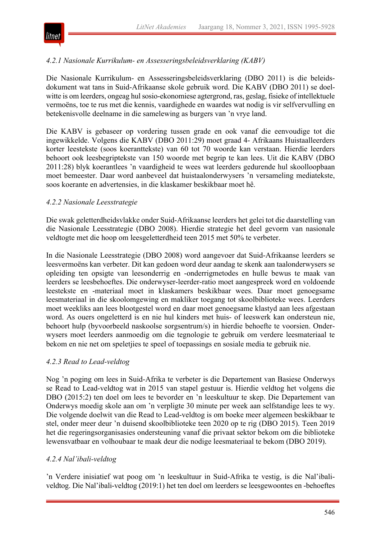

# *4.2.1 Nasionale Kurrikulum- en Assesseringsbeleidsverklaring (KABV)*

Die Nasionale Kurrikulum- en Assesseringsbeleidsverklaring (DBO 2011) is die beleidsdokument wat tans in Suid-Afrikaanse skole gebruik word. Die KABV (DBO 2011) se doelwitte is om leerders, ongeag hul sosio-ekonomiese agtergrond, ras, geslag, fisieke of intellektuele vermoëns, toe te rus met die kennis, vaardighede en waardes wat nodig is vir selfvervulling en betekenisvolle deelname in die samelewing as burgers van 'n vrye land.

Die KABV is gebaseer op vordering tussen grade en ook vanaf die eenvoudige tot die ingewikkelde. Volgens die KABV (DBO 2011:29) moet graad 4- Afrikaans Huistaalleerders korter leestekste (soos koeranttekste) van 60 tot 70 woorde kan verstaan. Hierdie leerders behoort ook leesbegriptekste van 150 woorde met begrip te kan lees. Uit die KABV (DBO 2011:28) blyk koerantlees 'n vaardigheid te wees wat leerders gedurende hul skoolloopbaan moet bemeester. Daar word aanbeveel dat huistaalonderwysers 'n versameling mediatekste, soos koerante en advertensies, in die klaskamer beskikbaar moet hê.

#### *4.2.2 Nasionale Leesstrategie*

Die swak geletterdheidsvlakke onder Suid-Afrikaanse leerders het gelei tot die daarstelling van die Nasionale Leesstrategie (DBO 2008). Hierdie strategie het deel gevorm van nasionale veldtogte met die hoop om leesgeletterdheid teen 2015 met 50% te verbeter.

In die Nasionale Leesstrategie (DBO 2008) word aangevoer dat Suid-Afrikaanse leerders se leesvermoëns kan verbeter. Dit kan gedoen word deur aandag te skenk aan taalonderwysers se opleiding ten opsigte van leesonderrig en -onderrigmetodes en hulle bewus te maak van leerders se leesbehoeftes. Die onderwyser-leerder-ratio moet aangespreek word en voldoende leestekste en -materiaal moet in klaskamers beskikbaar wees. Daar moet genoegsame leesmateriaal in die skoolomgewing en makliker toegang tot skoolbiblioteke wees. Leerders moet weekliks aan lees blootgestel word en daar moet genoegsame klastyd aan lees afgestaan word. As ouers ongeletterd is en nie hul kinders met huis- of leeswerk kan ondersteun nie, behoort hulp (byvoorbeeld naskoolse sorgsentrum/s) in hierdie behoefte te voorsien. Onderwysers moet leerders aanmoedig om die tegnologie te gebruik om verdere leesmateriaal te bekom en nie net om speletjies te speel of toepassings en sosiale media te gebruik nie.

#### *4.2.3 Read to Lead-veldtog*

Nog 'n poging om lees in Suid-Afrika te verbeter is die Departement van Basiese Onderwys se Read to Lead-veldtog wat in 2015 van stapel gestuur is. Hierdie veldtog het volgens die DBO (2015:2) ten doel om lees te bevorder en 'n leeskultuur te skep. Die Departement van Onderwys moedig skole aan om 'n verpligte 30 minute per week aan selfstandige lees te wy. Die volgende doelwit van die Read to Lead-veldtog is om boeke meer algemeen beskikbaar te stel, onder meer deur 'n duisend skoolbiblioteke teen 2020 op te rig (DBO 2015). Teen 2019 het die regeringsorganisasies ondersteuning vanaf die privaat sektor bekom om die biblioteke lewensvatbaar en volhoubaar te maak deur die nodige leesmateriaal te bekom (DBO 2019).

#### *4.2.4 Nal'ibali-veldtog*

'n Verdere inisiatief wat poog om 'n leeskultuur in Suid-Afrika te vestig, is die Nal'ibaliveldtog. Die Nal'ibali-veldtog (2019:1) het ten doel om leerders se leesgewoontes en -behoeftes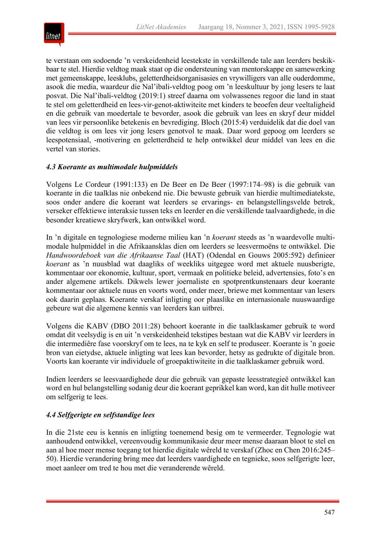

te verstaan om sodoende 'n verskeidenheid leestekste in verskillende tale aan leerders beskikbaar te stel. Hierdie veldtog maak staat op die ondersteuning van mentorskappe en samewerking met gemeenskappe, leesklubs, geletterdheidsorganisasies en vrywilligers van alle ouderdomme, asook die media, waardeur die Nal'ibali-veldtog poog om 'n leeskultuur by jong lesers te laat posvat. Die Nal'ibali-veldtog (2019:1) streef daarna om volwassenes regoor die land in staat te stel om geletterdheid en lees-vir-genot-aktiwiteite met kinders te beoefen deur veeltaligheid en die gebruik van moedertale te bevorder, asook die gebruik van lees en skryf deur middel van lees vir persoonlike betekenis en bevrediging. Bloch (2015:4) verduidelik dat die doel van die veldtog is om lees vir jong lesers genotvol te maak. Daar word gepoog om leerders se leespotensiaal, -motivering en geletterdheid te help ontwikkel deur middel van lees en die vertel van stories.

#### *4.3 Koerante as multimodale hulpmiddels*

Volgens Le Cordeur (1991:133) en De Beer en De Beer (1997:174–98) is die gebruik van koerante in die taalklas nie onbekend nie. Die bewuste gebruik van hierdie multimediatekste, soos onder andere die koerant wat leerders se ervarings- en belangstellingsvelde betrek, verseker effektiewe interaksie tussen teks en leerder en die verskillende taalvaardighede, in die besonder kreatiewe skryfwerk, kan ontwikkel word.

In 'n digitale en tegnologiese moderne milieu kan 'n *koerant* steeds as 'n waardevolle multimodale hulpmiddel in die Afrikaansklas dien om leerders se leesvermoëns te ontwikkel. Die *Handwoordeboek van die Afrikaanse Taal* (HAT) (Odendal en Gouws 2005:592) definieer *koerant* as 'n nuusblad wat daagliks of weekliks uitgegee word met aktuele nuusberigte, kommentaar oor ekonomie, kultuur, sport, vermaak en politieke beleid, advertensies, foto's en ander algemene artikels. Dikwels lewer joernaliste en spotprentkunstenaars deur koerante kommentaar oor aktuele nuus en voorts word, onder meer, briewe met kommentaar van lesers ook daarin geplaas. Koerante verskaf inligting oor plaaslike en internasionale nuuswaardige gebeure wat die algemene kennis van leerders kan uitbrei.

Volgens die KABV (DBO 2011:28) behoort koerante in die taalklaskamer gebruik te word omdat dit veelsydig is en uit 'n verskeidenheid tekstipes bestaan wat die KABV vir leerders in die intermediêre fase voorskryf om te lees, na te kyk en self te produseer. Koerante is 'n goeie bron van eietydse, aktuele inligting wat lees kan bevorder, hetsy as gedrukte of digitale bron. Voorts kan koerante vir individuele of groepaktiwiteite in die taalklaskamer gebruik word.

Indien leerders se leesvaardighede deur die gebruik van gepaste leesstrategieë ontwikkel kan word en hul belangstelling sodanig deur die koerant geprikkel kan word, kan dit hulle motiveer om selfgerig te lees.

#### *4.4 Selfgerigte en selfstandige lees*

In die 21ste eeu is kennis en inligting toenemend besig om te vermeerder. Tegnologie wat aanhoudend ontwikkel, vereenvoudig kommunikasie deur meer mense daaraan bloot te stel en aan al hoe meer mense toegang tot hierdie digitale wêreld te verskaf (Zhoc en Chen 2016:245– 50). Hierdie verandering bring mee dat leerders vaardighede en tegnieke, soos selfgerigte leer, moet aanleer om tred te hou met die veranderende wêreld.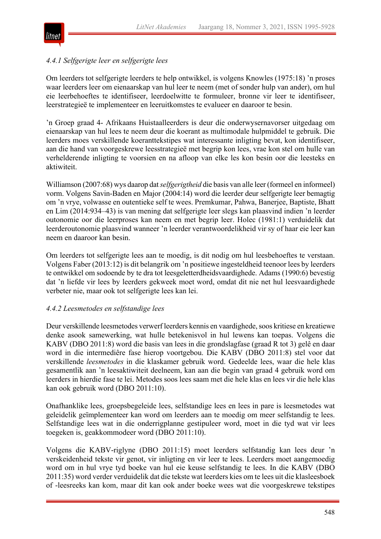

# *4.4.1 Selfgerigte leer en selfgerigte lees*

Om leerders tot selfgerigte leerders te help ontwikkel, is volgens Knowles (1975:18) 'n proses waar leerders leer om eienaarskap van hul leer te neem (met of sonder hulp van ander), om hul eie leerbehoeftes te identifiseer, leerdoelwitte te formuleer, bronne vir leer te identifiseer, leerstrategieë te implementeer en leeruitkomstes te evalueer en daaroor te besin.

'n Groep graad 4- Afrikaans Huistaalleerders is deur die onderwysernavorser uitgedaag om eienaarskap van hul lees te neem deur die koerant as multimodale hulpmiddel te gebruik. Die leerders moes verskillende koeranttekstipes wat interessante inligting bevat, kon identifiseer, aan die hand van voorgeskrewe leesstrategieë met begrip kon lees, vrae kon stel om hulle van verhelderende inligting te voorsien en na afloop van elke les kon besin oor die leesteks en aktiwiteit.

Williamson (2007:68) wys daarop dat*selfgerigtheid* die basis van alle leer (formeel en informeel) vorm. Volgens Savin-Baden en Major (2004:14) word die leerder deur selfgerigte leer bemagtig om 'n vrye, volwasse en outentieke self te wees. Premkumar, Pahwa, Banerjee, Baptiste, Bhatt en Lim (2014:934–43) is van mening dat selfgerigte leer slegs kan plaasvind indien 'n leerder outonomie oor die leerproses kan neem en met begrip leer. Holec (1981:1) verduidelik dat leerderoutonomie plaasvind wanneer 'n leerder verantwoordelikheid vir sy of haar eie leer kan neem en daaroor kan besin.

Om leerders tot selfgerigte lees aan te moedig, is dit nodig om hul leesbehoeftes te verstaan. Volgens Faber (2013:12) is dit belangrik om 'n positiewe ingesteldheid teenoor lees by leerders te ontwikkel om sodoende by te dra tot leesgeletterdheidsvaardighede. Adams (1990:6) bevestig dat 'n liefde vir lees by leerders gekweek moet word, omdat dit nie net hul leesvaardighede verbeter nie, maar ook tot selfgerigte lees kan lei.

#### *4.4.2 Leesmetodes en selfstandige lees*

Deur verskillende leesmetodes verwerf leerders kennis en vaardighede, soos kritiese en kreatiewe denke asook samewerking, wat hulle betekenisvol in hul lewens kan toepas. Volgens die KABV (DBO 2011:8) word die basis van lees in die grondslagfase (graad R tot 3) gelê en daar word in die intermediêre fase hierop voortgebou. Die KABV (DBO 2011:8) stel voor dat verskillende *leesmetodes* in die klaskamer gebruik word. Gedeelde lees, waar die hele klas gesamentlik aan 'n leesaktiwiteit deelneem, kan aan die begin van graad 4 gebruik word om leerders in hierdie fase te lei. Metodes soos lees saam met die hele klas en lees vir die hele klas kan ook gebruik word (DBO 2011:10).

Onafhanklike lees, groepsbegeleide lees, selfstandige lees en lees in pare is leesmetodes wat geleidelik geïmplementeer kan word om leerders aan te moedig om meer selfstandig te lees. Selfstandige lees wat in die onderrigplanne gestipuleer word, moet in die tyd wat vir lees toegeken is, geakkommodeer word (DBO 2011:10).

Volgens die KABV-riglyne (DBO 2011:15) moet leerders selfstandig kan lees deur 'n verskeidenheid tekste vir genot, vir inligting en vir leer te lees. Leerders moet aangemoedig word om in hul vrye tyd boeke van hul eie keuse selfstandig te lees. In die KABV (DBO 2011:35) word verder verduidelik dat die tekste wat leerders kies om te lees uit die klasleesboek of -leesreeks kan kom, maar dit kan ook ander boeke wees wat die voorgeskrewe tekstipes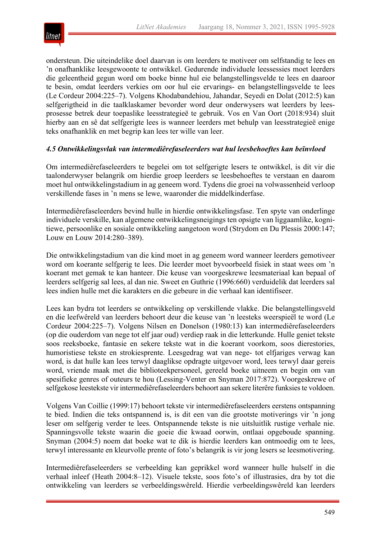

ondersteun. Die uiteindelike doel daarvan is om leerders te motiveer om selfstandig te lees en 'n onafhanklike leesgewoonte te ontwikkel. Gedurende individuele leessessies moet leerders die geleentheid gegun word om boeke binne hul eie belangstellingsvelde te lees en daaroor te besin, omdat leerders verkies om oor hul eie ervarings- en belangstellingsvelde te lees (Le Cordeur 2004:225–7). Volgens Khodabandehiou, Jahandar, Seyedi en Dolat (2012:5) kan selfgerigtheid in die taalklaskamer bevorder word deur onderwysers wat leerders by leesprosesse betrek deur toepaslike leesstrategieë te gebruik. Vos en Van Oort (2018:934) sluit hierby aan en sê dat selfgerigte lees is wanneer leerders met behulp van leesstrategieë enige teks onafhanklik en met begrip kan lees ter wille van leer.

#### *4.5 Ontwikkelingsvlak van intermediêrefaseleerders wat hul leesbehoeftes kan beïnvloed*

Om intermediêrefaseleerders te begelei om tot selfgerigte lesers te ontwikkel, is dit vir die taalonderwyser belangrik om hierdie groep leerders se leesbehoeftes te verstaan en daarom moet hul ontwikkelingstadium in ag geneem word. Tydens die groei na volwassenheid verloop verskillende fases in 'n mens se lewe, waaronder die middelkinderfase.

Intermediêrefaseleerders bevind hulle in hierdie ontwikkelingsfase. Ten spyte van onderlinge individuele verskille, kan algemene ontwikkelingsneigings ten opsigte van liggaamlike, kognitiewe, persoonlike en sosiale ontwikkeling aangetoon word (Strydom en Du Plessis 2000:147; Louw en Louw 2014:280–389).

Die ontwikkelingstadium van die kind moet in ag geneem word wanneer leerders gemotiveer word om koerante selfgerig te lees. Die leerder moet byvoorbeeld fisiek in staat wees om 'n koerant met gemak te kan hanteer. Die keuse van voorgeskrewe leesmateriaal kan bepaal of leerders selfgerig sal lees, al dan nie. Sweet en Guthrie (1996:660) verduidelik dat leerders sal lees indien hulle met die karakters en die gebeure in die verhaal kan identifiseer.

Lees kan bydra tot leerders se ontwikkeling op verskillende vlakke. Die belangstellingsveld en die leefwêreld van leerders behoort deur die keuse van 'n leesteks weerspieël te word (Le Cordeur 2004:225–7). Volgens Nilsen en Donelson (1980:13) kan intermediêrefaseleerders (op die ouderdom van nege tot elf jaar oud) verdiep raak in die letterkunde. Hulle geniet tekste soos reeksboeke, fantasie en sekere tekste wat in die koerant voorkom, soos dierestories, humoristiese tekste en strokiesprente. Leesgedrag wat van nege- tot elfjariges verwag kan word, is dat hulle kan lees terwyl daaglikse opdragte uitgevoer word, lees terwyl daar gereis word, vriende maak met die biblioteekpersoneel, gereeld boeke uitneem en begin om van spesifieke genres of outeurs te hou (Lessing-Venter en Snyman 2017:872). Voorgeskrewe of selfgekose leestekste vir intermediêrefaseleerders behoort aan sekere literêre funksies te voldoen.

Volgens Van Coillie (1999:17) behoort tekste vir intermediêrefaseleerders eerstens ontspanning te bied. Indien die teks ontspannend is, is dit een van die grootste motiverings vir 'n jong leser om selfgerig verder te lees. Ontspannende tekste is nie uitsluitlik rustige verhale nie. Spanningsvolle tekste waarin die goeie die kwaad oorwin, ontlaai opgeboude spanning. Snyman (2004:5) noem dat boeke wat te dik is hierdie leerders kan ontmoedig om te lees, terwyl interessante en kleurvolle prente of foto's belangrik is vir jong lesers se leesmotivering.

Intermediêrefaseleerders se verbeelding kan geprikkel word wanneer hulle hulself in die verhaal inleef (Heath 2004:8–12). Visuele tekste, soos foto's of illustrasies, dra by tot die ontwikkeling van leerders se verbeeldingswêreld. Hierdie verbeeldingswêreld kan leerders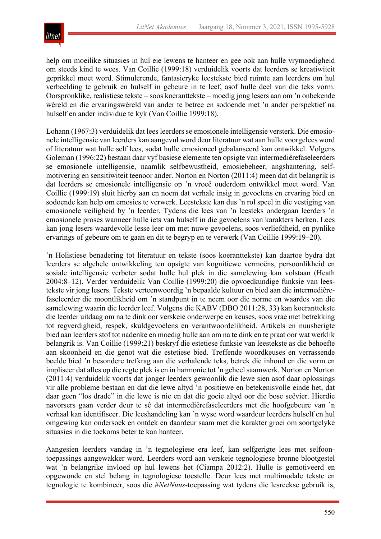

help om moeilike situasies in hul eie lewens te hanteer en gee ook aan hulle vrymoedigheid om steeds kind te wees. Van Coillie (1999:18) verduidelik voorts dat leerders se kreatiwiteit geprikkel moet word. Stimulerende, fantasieryke leestekste bied ruimte aan leerders om hul verbeelding te gebruik en hulself in gebeure in te leef, asof hulle deel van die teks vorm. Oorspronklike, realistiese tekste – soos koeranttekste – moedig jong lesers aan om 'n onbekende wêreld en die ervaringswêreld van ander te betree en sodoende met 'n ander perspektief na hulself en ander individue te kyk (Van Coillie 1999:18).

Lohann (1967:3) verduidelik dat lees leerders se emosionele intelligensie versterk. Die emosionele intelligensie van leerders kan aangevul word deur literatuur wat aan hulle voorgelees word of literatuur wat hulle self lees, sodat hulle emosioneel gebalanseerd kan ontwikkel. Volgens Goleman (1996:22) bestaan daar vyf basiese elemente ten opsigte van intermediêrefaseleerders se emosionele intelligensie, naamlik selfbewustheid, emosiebeheer, angshantering, selfmotivering en sensitiwiteit teenoor ander. Norton en Norton (2011:4) meen dat dit belangrik is dat leerders se emosionele intelligensie op 'n vroeë ouderdom ontwikkel moet word. Van Coillie (1999:19) sluit hierby aan en noem dat verhale insig in gevoelens en ervaring bied en sodoende kan help om emosies te verwerk. Leestekste kan dus 'n rol speel in die vestiging van emosionele veiligheid by 'n leerder. Tydens die lees van 'n leesteks ondergaan leerders 'n emosionele proses wanneer hulle iets van hulself in die gevoelens van karakters herken. Lees kan jong lesers waardevolle lesse leer om met nuwe gevoelens, soos verliefdheid, en pynlike ervarings of gebeure om te gaan en dit te begryp en te verwerk (Van Coillie 1999:19–20).

'n Holistiese benadering tot literatuur en tekste (soos koeranttekste) kan daartoe bydra dat leerders se algehele ontwikkeling ten opsigte van kognitiewe vermoëns, persoonlikheid en sosiale intelligensie verbeter sodat hulle hul plek in die samelewing kan volstaan (Heath 2004:8–12). Verder verduidelik Van Coillie (1999:20) die opvoedkundige funksie van leestekste vir jong lesers. Tekste verteenwoordig 'n bepaalde kultuur en bied aan die intermediêrefaseleerder die moontlikheid om 'n standpunt in te neem oor die norme en waardes van die samelewing waarin die leerder leef. Volgens die KABV (DBO 2011:28, 33) kan koeranttekste die leerder uitdaag om na te dink oor verskeie onderwerpe en keuses, soos vrae met betrekking tot regverdigheid, respek, skuldgevoelens en verantwoordelikheid. Artikels en nuusberigte bied aan leerders stof tot nadenke en moedig hulle aan om na te dink en te praat oor wat werklik belangrik is. Van Coillie (1999:21) beskryf die estetiese funksie van leestekste as die behoefte aan skoonheid en die genot wat die estetiese bied. Treffende woordkeuses en verrassende beelde bied 'n besondere trefkrag aan die verhalende teks, betrek die inhoud en die vorm en impliseer dat alles op die regte plek is en in harmonie tot 'n geheel saamwerk. Norton en Norton (2011:4) verduidelik voorts dat jonger leerders gewoonlik die lewe sien asof daar oplossings vir alle probleme bestaan en dat die lewe altyd 'n positiewe en betekenisvolle einde het, dat daar geen "los drade" in die lewe is nie en dat die goeie altyd oor die bose seëvier. Hierdie navorsers gaan verder deur te sê dat intermediêrefaseleerders met die hoofgebeure van 'n verhaal kan identifiseer. Die leeshandeling kan 'n wyse word waardeur leerders hulself en hul omgewing kan ondersoek en ontdek en daardeur saam met die karakter groei om soortgelyke situasies in die toekoms beter te kan hanteer.

Aangesien leerders vandag in 'n tegnologiese era leef, kan selfgerigte lees met selfoontoepassings aangewakker word. Leerders word aan verskeie tegnologiese bronne blootgestel wat 'n belangrike invloed op hul lewens het (Ciampa 2012:2). Hulle is gemotiveerd en opgewonde en stel belang in tegnologiese toestelle. Deur lees met multimodale tekste en tegnologie te kombineer, soos die #*NetNuus*-toepassing wat tydens die lesreekse gebruik is,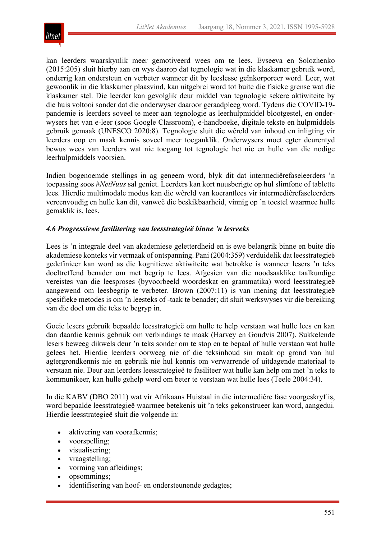

kan leerders waarskynlik meer gemotiveerd wees om te lees. Evseeva en Solozhenko (2015:205) sluit hierby aan en wys daarop dat tegnologie wat in die klaskamer gebruik word, onderrig kan ondersteun en verbeter wanneer dit by leeslesse geïnkorporeer word. Leer, wat gewoonlik in die klaskamer plaasvind, kan uitgebrei word tot buite die fisieke grense wat die klaskamer stel. Die leerder kan gevolglik deur middel van tegnologie sekere aktiwiteite by die huis voltooi sonder dat die onderwyser daaroor geraadpleeg word. Tydens die COVID-19 pandemie is leerders soveel te meer aan tegnologie as leerhulpmiddel blootgestel, en onderwysers het van e-leer (soos Google Classroom), e-handboeke, digitale tekste en hulpmiddels gebruik gemaak (UNESCO 2020:8). Tegnologie sluit die wêreld van inhoud en inligting vir leerders oop en maak kennis soveel meer toeganklik. Onderwysers moet egter deurentyd bewus wees van leerders wat nie toegang tot tegnologie het nie en hulle van die nodige leerhulpmiddels voorsien.

Indien bogenoemde stellings in ag geneem word, blyk dit dat intermediêrefaseleerders 'n toepassing soos #*NetNuus* sal geniet. Leerders kan kort nuusberigte op hul slimfone of tablette lees. Hierdie multimodale modus kan die wêreld van koerantlees vir intermediêrefaseleerders vereenvoudig en hulle kan dit, vanweë die beskikbaarheid, vinnig op 'n toestel waarmee hulle gemaklik is, lees.

#### *4.6 Progressiewe fasilitering van leesstrategieë binne 'n lesreeks*

Lees is 'n integrale deel van akademiese geletterdheid en is ewe belangrik binne en buite die akademiese konteks vir vermaak of ontspanning. Pani (2004:359) verduidelik dat leesstrategieë gedefinieer kan word as die kognitiewe aktiwiteite wat betrokke is wanneer lesers 'n teks doeltreffend benader om met begrip te lees. Afgesien van die noodsaaklike taalkundige vereistes van die leesproses (byvoorbeeld woordeskat en grammatika) word leesstrategieë aangewend om leesbegrip te verbeter. Brown (2007:11) is van mening dat leesstrategieë spesifieke metodes is om 'n leesteks of -taak te benader; dit sluit werkswyses vir die bereiking van die doel om die teks te begryp in.

Goeie lesers gebruik bepaalde leesstrategieë om hulle te help verstaan wat hulle lees en kan dan daardie kennis gebruik om verbindings te maak (Harvey en Goudvis 2007). Sukkelende lesers beweeg dikwels deur 'n teks sonder om te stop en te bepaal of hulle verstaan wat hulle gelees het. Hierdie leerders oorweeg nie of die teksinhoud sin maak op grond van hul agtergrondkennis nie en gebruik nie hul kennis om verwarrende of uitdagende materiaal te verstaan nie. Deur aan leerders leesstrategieë te fasiliteer wat hulle kan help om met 'n teks te kommunikeer, kan hulle gehelp word om beter te verstaan wat hulle lees (Teele 2004:34).

In die KABV (DBO 2011) wat vir Afrikaans Huistaal in die intermediêre fase voorgeskryf is, word bepaalde leesstrategieë waarmee betekenis uit 'n teks gekonstrueer kan word, aangedui. Hierdie leesstrategieë sluit die volgende in:

- aktivering van voorafkennis;
- voorspelling;
- visualisering;
- vraagstelling;
- vorming van afleidings;
- opsommings;
- identifisering van hoof- en ondersteunende gedagtes;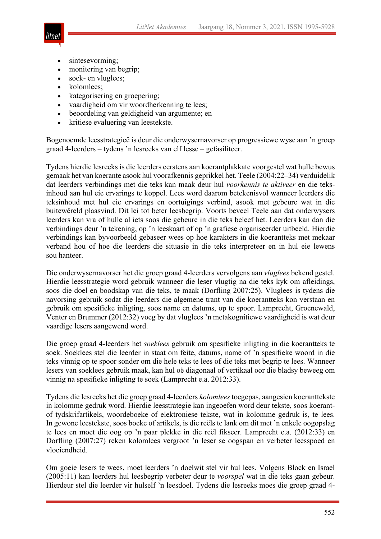

- sintesevorming;
- monitering van begrip;
- soek- en vluglees;
- kolomlees:
- kategorisering en groepering;
- vaardigheid om vir woordherkenning te lees;
- beoordeling van geldigheid van argumente; en
- kritiese evaluering van leestekste.

Bogenoemde leesstrategieë is deur die onderwysernavorser op progressiewe wyse aan 'n groep graad 4-leerders – tydens 'n lesreeks van elf lesse – gefasiliteer.

Tydens hierdie lesreeks is die leerders eerstens aan koerantplakkate voorgestel wat hulle bewus gemaak het van koerante asook hul voorafkennis geprikkel het. Teele (2004:22–34) verduidelik dat leerders verbindings met die teks kan maak deur hul *voorkennis te aktiveer* en die teksinhoud aan hul eie ervarings te koppel. Lees word daarom betekenisvol wanneer leerders die teksinhoud met hul eie ervarings en oortuigings verbind, asook met gebeure wat in die buitewêreld plaasvind. Dit lei tot beter leesbegrip. Voorts beveel Teele aan dat onderwysers leerders kan vra of hulle al iets soos die gebeure in die teks beleef het. Leerders kan dan die verbindings deur 'n tekening, op 'n leeskaart of op 'n grafiese organiseerder uitbeeld. Hierdie verbindings kan byvoorbeeld gebaseer wees op hoe karakters in die koerantteks met mekaar verband hou of hoe die leerders die situasie in die teks interpreteer en in hul eie lewens sou hanteer.

Die onderwysernavorser het die groep graad 4-leerders vervolgens aan *vluglees* bekend gestel. Hierdie leesstrategie word gebruik wanneer die leser vlugtig na die teks kyk om afleidings, soos die doel en boodskap van die teks, te maak (Dorfling 2007:25). Vluglees is tydens die navorsing gebruik sodat die leerders die algemene trant van die koerantteks kon verstaan en gebruik om spesifieke inligting, soos name en datums, op te spoor. Lamprecht, Groenewald, Venter en Brummer (2012:32) voeg by dat vluglees 'n metakognitiewe vaardigheid is wat deur vaardige lesers aangewend word.

Die groep graad 4-leerders het *soeklees* gebruik om spesifieke inligting in die koerantteks te soek. Soeklees stel die leerder in staat om feite, datums, name of 'n spesifieke woord in die teks vinnig op te spoor sonder om die hele teks te lees of die teks met begrip te lees. Wanneer lesers van soeklees gebruik maak, kan hul oë diagonaal of vertikaal oor die bladsy beweeg om vinnig na spesifieke inligting te soek (Lamprecht e.a. 2012:33).

Tydens die lesreeks het die groep graad 4-leerders *kolomlees* toegepas, aangesien koeranttekste in kolomme gedruk word. Hierdie leesstrategie kan ingeoefen word deur tekste, soos koerantof tydskrifartikels, woordeboeke of elektroniese tekste, wat in kolomme gedruk is, te lees. In gewone leestekste, soos boeke of artikels, is die reëls te lank om dit met 'n enkele oogopslag te lees en moet die oog op 'n paar plekke in die reël fikseer. Lamprecht e.a. (2012:33) en Dorfling (2007:27) reken kolomlees vergroot 'n leser se oogspan en verbeter leesspoed en vloeiendheid.

Om goeie lesers te wees, moet leerders 'n doelwit stel vir hul lees. Volgens Block en Israel (2005:11) kan leerders hul leesbegrip verbeter deur te *voorspel* wat in die teks gaan gebeur. Hierdeur stel die leerder vir hulself 'n leesdoel. Tydens die lesreeks moes die groep graad 4-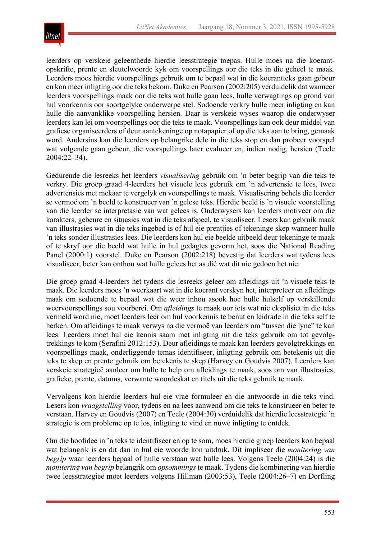

leerders op verskeie geleenthede hierdie leesstrategie toepas. Hulle moes na die koerantopskrifte, prente en sleutelwoorde kyk om voorspellings oor die teks in die geheel te maak. Leerders moes hierdie voorspellings gebruik om te bepaal wat in die koerantteks gaan gebeur en kon meer inligting oor die teks bekom. Duke en Pearson (2002:205) verduidelik dat wanneer leerders voorspellings maak oor die teks wat hulle gaan lees, hulle verwagtings op grond van hul voorkennis oor soortgelyke onderwerpe stel. Sodoende verkry hulle meer inligting en kan hulle die aanvanklike voorspelling hersien. Daar is verskeie wyses waarop die onderwyser leerders kan lei om voorspellings oor die teks te maak. Voorspellings kan ook deur middel van grafiese organiseerders of deur aantekeninge op notapapier of op die teks aan te bring, gemaak word. Andersins kan die leerders op belangrike dele in die teks stop en dan probeer voorspel wat volgende gaan gebeur, die voorspellings later evalueer en, indien nodig, hersien (Teele 2004:22–34).

Gedurende die lesreeks het leerders *visualisering* gebruik om 'n beter begrip van die teks te verkry. Die groep graad 4-leerders het visuele lees gebruik om 'n advertensie te lees, twee advertensies met mekaar te vergelyk en voorspellings te maak. Visualisering behels die leerder se vermoë om 'n beeld te konstrueer van 'n gelese teks. Hierdie beeld is 'n visuele voorstelling van die leerder se interpretasie van wat gelees is. Onderwysers kan leerders motiveer om die karakters, gebeure en situasies wat in die teks afspeel, te visualiseer. Lesers kan gebruik maak van illustrasies wat in die teks ingebed is of hul eie prentjies of tekeninge skep wanneer hulle 'n teks sonder illustrasies lees. Die leerders kon hul eie beelde uitbeeld deur tekeninge te maak of te skryf oor die beeld wat hulle in hul gedagtes gevorm het, soos die National Reading Panel (2000:1) voorstel. Duke en Pearson (2002:218) bevestig dat leerders wat tydens lees visualiseer, beter kan onthou wat hulle gelees het as dié wat dit nie gedoen het nie.

Die groep graad 4-leerders het tydens die lesreeks geleer om afleidings uit 'n visuele teks te maak. Die leerders moes 'n weerkaart wat in die koerant verskyn het, interpreteer en afleidings maak om sodoende te bepaal wat die weer inhou asook hoe hulle hulself op verskillende weervoorspellings sou voorberei. Om *afleidings* te maak oor iets wat nie eksplisiet in die teks vermeld word nie, moet leerders leer om hul voorkennis te benut en leidrade in die teks self te herken. Om afleidings te maak verwys na die vermoë van leerders om "tussen die lyne" te kan lees. Leerders moet hul eie kennis saam met inligting uit die teks gebruik om tot gevolgtrekkings te kom (Serafini 2012:153). Deur afleidings te maak kan leerders gevolgtrekkings en voorspellings maak, onderliggende temas identifiseer, inligting gebruik om betekenis uit die teks te skep en prente gebruik om betekenis te skep (Harvey en Goudvis 2007). Leerders kan verskeie strategieë aanleer om hulle te help om afleidings te maak, soos om van illustrasies, grafieke, prente, datums, verwante woordeskat en titels uit die teks gebruik te maak.

Vervolgens kon hierdie leerders hul eie vrae formuleer en die antwoorde in die teks vind. Lesers kon *vraagstelling* voor, tydens en na lees aanwend om die teks te konstrueer en beter te verstaan. Harvey en Goudvis (2007) en Teele (2004:30) verduidelik dat hierdie leesstrategie 'n strategie is om probleme op te los, inligting te vind en nuwe inligting te ontdek.

Om die hoofidee in 'n teks te identifiseer en op te som, moes hierdie groep leerders kon bepaal wat belangrik is en dit dan in hul eie woorde kon uitdruk. Dit impliseer die *monitering van begrip* waar leerders bepaal of hulle verstaan wat hulle lees. Volgens Teele (2004:24) is die *monitering van begrip* belangrik om *opsommings* te maak. Tydens die kombinering van hierdie twee leesstrategieë moet leerders volgens Hillman (2003:53), Teele (2004:26–7) en Dorfling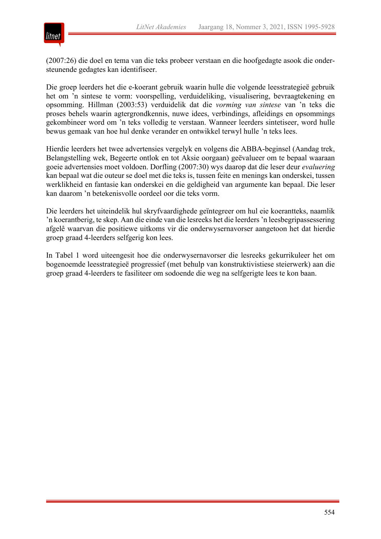

(2007:26) die doel en tema van die teks probeer verstaan en die hoofgedagte asook die ondersteunende gedagtes kan identifiseer.

Die groep leerders het die e-koerant gebruik waarin hulle die volgende leesstrategieë gebruik het om 'n sintese te vorm: voorspelling, verduideliking, visualisering, bevraagtekening en opsomming. Hillman (2003:53) verduidelik dat die *vorming van sintese* van 'n teks die proses behels waarin agtergrondkennis, nuwe idees, verbindings, afleidings en opsommings gekombineer word om 'n teks volledig te verstaan. Wanneer leerders sintetiseer, word hulle bewus gemaak van hoe hul denke verander en ontwikkel terwyl hulle 'n teks lees.

Hierdie leerders het twee advertensies vergelyk en volgens die ABBA-beginsel (Aandag trek, Belangstelling wek, Begeerte ontlok en tot Aksie oorgaan) geëvalueer om te bepaal waaraan goeie advertensies moet voldoen. Dorfling (2007:30) wys daarop dat die leser deur *evaluering* kan bepaal wat die outeur se doel met die teks is, tussen feite en menings kan onderskei, tussen werklikheid en fantasie kan onderskei en die geldigheid van argumente kan bepaal. Die leser kan daarom 'n betekenisvolle oordeel oor die teks vorm.

Die leerders het uiteindelik hul skryfvaardighede geïntegreer om hul eie koerantteks, naamlik 'n koerantberig, te skep. Aan die einde van die lesreeks het die leerders 'n leesbegripassessering afgelê waarvan die positiewe uitkoms vir die onderwysernavorser aangetoon het dat hierdie groep graad 4-leerders selfgerig kon lees.

In Tabel 1 word uiteengesit hoe die onderwysernavorser die lesreeks gekurrikuleer het om bogenoemde leesstrategieë progressief (met behulp van konstruktivistiese steierwerk) aan die groep graad 4-leerders te fasiliteer om sodoende die weg na selfgerigte lees te kon baan.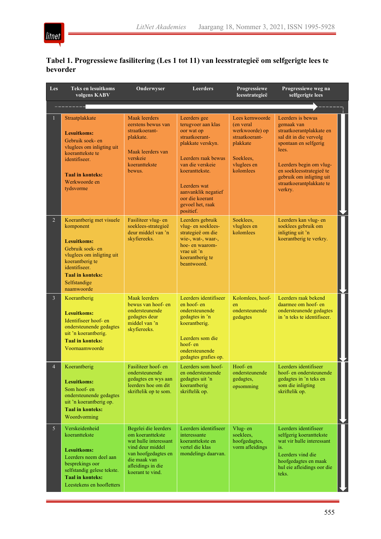# **Tabel 1. Progressiewe fasilitering (Les 1 tot 11) van leesstrategieë om selfgerigte lees te bevorder**

| Les            | <b>Teks en lesuitkoms</b><br>volgens KABV                                                                                                                                                                 | Onderwyser                                                                                                                                                            | <b>Leerders</b>                                                                                                                                                                                                                                 | Progressiewe<br>leesstrategieë                                                                                        | Progressiewe weg na<br>selfgerigte lees                                                                                                                                                                                                           |  |  |  |  |  |  |
|----------------|-----------------------------------------------------------------------------------------------------------------------------------------------------------------------------------------------------------|-----------------------------------------------------------------------------------------------------------------------------------------------------------------------|-------------------------------------------------------------------------------------------------------------------------------------------------------------------------------------------------------------------------------------------------|-----------------------------------------------------------------------------------------------------------------------|---------------------------------------------------------------------------------------------------------------------------------------------------------------------------------------------------------------------------------------------------|--|--|--|--|--|--|
|                |                                                                                                                                                                                                           |                                                                                                                                                                       |                                                                                                                                                                                                                                                 |                                                                                                                       |                                                                                                                                                                                                                                                   |  |  |  |  |  |  |
| 1              | Straatplakkate<br><b>Lesuitkoms:</b><br>Gebruik soek- en<br>vluglees om inligting uit<br>koeranttekste te<br>identifiseer.<br><b>Taal in konteks:</b><br>Werkwoorde en<br>tydsvorme                       | Maak leerders<br>eerstens bewus van<br>straatkoerant-<br>plakkate.<br>Maak leerders van<br>verskeie<br>koeranttekste<br>bewus.                                        | Leerders gee<br>terugvoer aan klas<br>oor wat op<br>straatkoerant-<br>plakkate verskyn.<br>Leerders raak bewus<br>van die verskeie<br>koeranttekste.<br>Leerders wat<br>aanvanklik negatief<br>oor die koerant<br>gevoel het, raak<br>positief. | Lees kernwoorde<br>(en veral<br>werkwoorde) op<br>straatkoerant-<br>plakkate<br>Soeklees,<br>vluglees en<br>kolomlees | Leerders is bewus<br>gemaak van<br>straatkoerantplakkate en<br>sal dit in die vervolg<br>spontaan en selfgerig<br>lees.<br>Leerders begin om vlug-<br>en soekleesstrategieë te<br>gebruik om inligting uit<br>straatkoerantplakkate te<br>verkry. |  |  |  |  |  |  |
| $\overline{2}$ | Koerantberig met visuele<br>komponent<br><b>Lesuitkoms:</b><br>Gebruik soek- en<br>vluglees om inligting uit<br>koerantberig te<br>identifiseer.<br><b>Taal in konteks:</b><br>Selfstandige<br>naamwoorde | Fasiliteer vlug- en<br>soeklees-strategieë<br>deur middel van 'n<br>skyfiereeks.                                                                                      | Leerders gebruik<br>vlug- en soeklees-<br>strategieë om die<br>wie-, wat-, waar-,<br>hoe- en waarom-<br>vrae uit 'n<br>koerantberig te<br>beantwoord.                                                                                           | Soeklees.<br>vluglees en<br>kolomlees                                                                                 | Leerders kan vlug- en<br>soeklees gebruik om<br>inligting uit 'n<br>koerantberig te verkry.                                                                                                                                                       |  |  |  |  |  |  |
| $\overline{3}$ | Koerantberig<br><b>Lesuitkoms:</b><br>Identifiseer hoof- en<br>ondersteunende gedagtes<br>uit 'n koerantberig.<br><b>Taal in konteks:</b><br>Voornaamwoorde                                               | <b>Maak</b> leerders<br>bewus van hoof- en<br>ondersteunende<br>gedagtes deur<br>middel van 'n<br>skyfiereeks.                                                        | Leerders identifiseer<br>en hoof- en<br>ondersteunende<br>gedagtes in 'n<br>koerantberig.<br>Leerders som die<br>hoof-en<br>ondersteunende<br>gedagtes grafies op.                                                                              | Kolomlees, hoof-<br>en<br>ondersteunende<br>gedagtes                                                                  | Leerders raak bekend<br>daarmee om hoof- en<br>ondersteunende gedagtes<br>in 'n teks te identifiseer.                                                                                                                                             |  |  |  |  |  |  |
| $\overline{4}$ | Koerantberig<br><b>Lesuitkoms:</b><br>Som hoof- en<br>ondersteunende gedagtes<br>uit 'n koerantberig op.<br><b>Taal in konteks:</b><br>Woordvorming                                                       | Fasiliteer hoof- en<br>ondersteunende<br>gedagtes en wys aan<br>leerders hoe om dit<br>skriftelik op te som.                                                          | Leerders som hoof-<br>en ondersteunende<br>gedagtes uit 'n<br>koerantberig<br>skriftelik op.                                                                                                                                                    | Hoof-en<br>ondersteunende<br>gedagtes,<br>opsomming                                                                   | Leerders identifiseer<br>hoof- en ondersteunende<br>gedagtes in 'n teks en<br>som die inligting<br>skriftelik op.                                                                                                                                 |  |  |  |  |  |  |
| 5 <sup>5</sup> | Verskeidenheid<br>koeranttekste<br>Lesuitkoms:<br>Leerders neem deel aan<br>besprekings oor<br>selfstandig gelese tekste.<br><b>Taal in konteks:</b><br>Leestekens en hoofletters                         | Begelei die leerders<br>om koeranttekste<br>wat hulle interessant<br>vind deur middel<br>van hoofgedagtes en<br>die maak van<br>afleidings in die<br>koerant te vind. | Leerders identifiseer<br>interessante<br>koeranttekste en<br>vertel die klas<br>mondelings daarvan.                                                                                                                                             | Vlug-en<br>soeklees,<br>hoofgedagtes,<br>vorm afleidings                                                              | Leerders identifiseer<br>selfgerig koeranttekste<br>wat vir hulle interessant<br>is.<br>Leerders vind die<br>hoofgedagtes en maak<br>hul eie afleidings oor die<br>teks.                                                                          |  |  |  |  |  |  |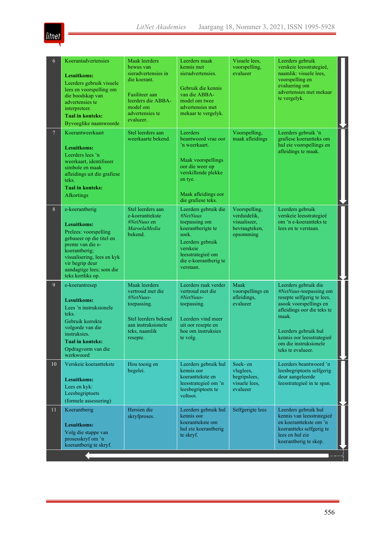| 6              | Koerantadvertensies<br>Lesuitkoms:<br>Leerders gebruik visuele<br>lees en voorspelling om<br>die boodskap van<br>advertensies te<br>interpreteer.<br><b>Taal in konteks:</b><br>Byvoeglike naamwoorde                             | Maak leerders<br>bewus van<br>sieradvertensies in<br>die koerant.<br>Fasiliteer aan<br>leerders die ABBA-<br>model om<br>advertensies te<br>evalueer. | Leerders maak<br>kennis met<br>sieradvertensies.<br>Gebruik die kennis<br>van die ABBA-<br>model om twee<br>advertensies met<br>mekaar te vergelyk.                        | Visuele lees,<br>voorspelling,<br>evalueer                                  | Leerders gebruik<br>verskeie leesstrategieë,<br>naamlik: visuele lees,<br>voorspelling en<br>evaluering om<br>advertensies met mekaar<br>te vergelyk.                                                                                            |  |
|----------------|-----------------------------------------------------------------------------------------------------------------------------------------------------------------------------------------------------------------------------------|-------------------------------------------------------------------------------------------------------------------------------------------------------|----------------------------------------------------------------------------------------------------------------------------------------------------------------------------|-----------------------------------------------------------------------------|--------------------------------------------------------------------------------------------------------------------------------------------------------------------------------------------------------------------------------------------------|--|
| $\overline{7}$ | Koerantweerkaart<br><b>Lesuitkoms:</b><br>Leerders lees 'n<br>weerkaart, identifiseer<br>simbole en maak<br>afleidings uit die grafiese<br>teks.<br><b>Taal in konteks:</b><br>Afkortings                                         | Stel leerders aan<br>weerkaarte bekend.                                                                                                               | Leerders<br>beantwoord vrae oor<br>'n weerkaart.<br>Maak voorspellings<br>oor die weer op<br>verskillende plekke<br>en tye.<br>Maak afleidings oor<br>die grafiese teks.   | Voorspelling,<br>maak afleidings                                            | Leerders gebruik 'n<br>grafiese koerantteks om<br>hul eie voorspellings en<br>afleidings te maak.                                                                                                                                                |  |
| 8              | e-koerantberig<br><b>Lesuitkoms:</b><br>Prelees: voorspelling<br>gebaseer op die titel en<br>prente van die e-<br>koerantberig;<br>visualisering, lees en kyk<br>vir begrip deur<br>aandagtige lees; som die<br>teks kortliks op. | Stel leerders aan<br>e-koeranttekste<br>#NetNuus en<br>MaroelaMedia<br>bekend.                                                                        | Leerders gebruik die<br>#NetNuus<br>toepassing om<br>koerantberigte te<br>soek.<br>Leerders gebruik<br>verskeie<br>leesstrategieë om<br>die e-koerantberig te<br>verstaan. | Voorspelling,<br>verduidelik.<br>visualiseer,<br>bevraagteken,<br>opsomming | Leerders gebruik<br>verskeie leesstrategieë<br>om 'n e-koerantteks te<br>lees en te verstaan.                                                                                                                                                    |  |
| 9 <sup>°</sup> | e-koerantresep<br><b>Lesuitkoms:</b><br>Lees 'n instruksionele<br>teks.<br>Gebruik korrekte<br>volgorde van die<br>instruksies.<br><b>Taal in konteks:</b><br>Opdragvorm van die<br>werkwoord                                     | Maak leerders<br>vertroud met die<br>#NetNuus-<br>toepassing.<br>Stel leerders bekend<br>aan instruksionele<br>teks, naamlik<br>resepte.              | Leerders raak verder<br>vertroud met die<br>#NetNuus-<br>toepassing.<br>Leerders vind meer<br>uit oor resepte en<br>hoe om instruksies<br>te volg.                         | Maak<br>voorspellings en<br>afleidings,<br>evalueer                         | Leerders gebruik die<br>#NetNuus-toepassing om<br>resepte selfgerig te lees,<br>asook voorspellings en<br>afleidings oor die teks te<br>maak.<br>Leerders gebruik hul<br>kennis oor leesstrategieë<br>om die instruksionele<br>teks te evalueer. |  |
| 10             | Verskeie koeranttekste<br>Lesuitkoms:<br>Lees en kyk:<br>Leesbegriptoets<br>(formele assessering)                                                                                                                                 | Hou toesig en<br>begelei.                                                                                                                             | Leerders gebruik hul<br>kennis oor<br>koeranttekste en<br>leesstrategieë om 'n<br>leesbegriptoets te<br>voltooi.                                                           | Soek- en<br>vluglees,<br>begripslees,<br>visuele lees.<br>evalueer          | Leerders beantwoord 'n<br>leesbegriptoets selfgerig<br>deur aangeleerde<br>leesstrategieë in te span.                                                                                                                                            |  |
| 11             | Koerantberig<br><b>Lesuitkoms:</b><br>Volg die stappe van<br>prosesskryf om 'n<br>koerantberig te skryf.                                                                                                                          | Hersien die<br>skryfproses.                                                                                                                           | Leerders gebruik hul<br>kennis oor<br>koeranttekste om<br>hul eie koerantberig<br>te skryf.                                                                                | Selfgerigte lees                                                            | Leerders gebruik hul<br>kennis van leesstrategieë<br>en koeranttekste om 'n<br>koerantteks selfgerig te<br>lees en hul eie<br>koerantberig te skep.                                                                                              |  |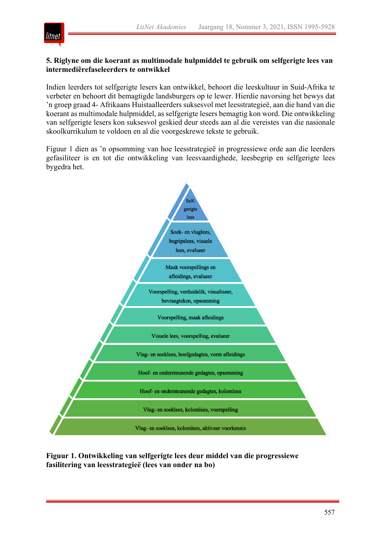

### **5. Riglyne om die koerant as multimodale hulpmiddel te gebruik om selfgerigte lees van intermediêrefaseleerders te ontwikkel**

Indien leerders tot selfgerigte lesers kan ontwikkel, behoort die leeskultuur in Suid-Afrika te verbeter en behoort dit bemagtigde landsburgers op te lewer. Hierdie navorsing het bewys dat 'n groep graad 4- Afrikaans Huistaalleerders suksesvol met leesstrategieë, aan die hand van die koerant as multimodale hulpmiddel, as selfgerigte lesers bemagtig kon word. Die ontwikkeling van selfgerigte lesers kon suksesvol geskied deur steeds aan al die vereistes van die nasionale skoolkurrikulum te voldoen en al die voorgeskrewe tekste te gebruik.

Figuur 1 dien as 'n opsomming van hoe leesstrategieë in progressiewe orde aan die leerders gefasiliteer is en tot die ontwikkeling van leesvaardighede, leesbegrip en selfgerigte lees bygedra het.



**Figuur 1. Ontwikkeling van selfgerigte lees deur middel van die progressiewe fasilitering van leesstrategieë (lees van onder na bo)**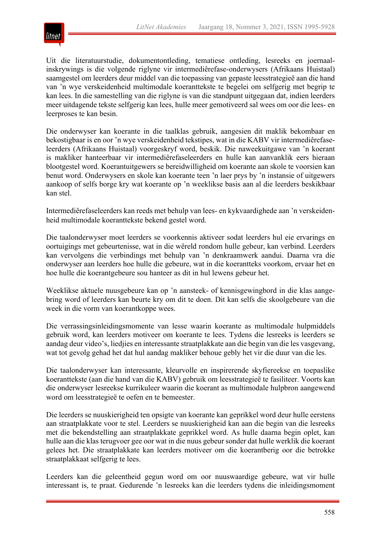

Uit die literatuurstudie, dokumentontleding, tematiese ontleding, lesreeks en joernaalinskrywings is die volgende riglyne vir intermediêrefase-onderwysers (Afrikaans Huistaal) saamgestel om leerders deur middel van die toepassing van gepaste leesstrategieë aan die hand van 'n wye verskeidenheid multimodale koeranttekste te begelei om selfgerig met begrip te kan lees. In die samestelling van die riglyne is van die standpunt uitgegaan dat, indien leerders meer uitdagende tekste selfgerig kan lees, hulle meer gemotiveerd sal wees om oor die lees- en leerproses te kan besin.

Die onderwyser kan koerante in die taalklas gebruik, aangesien dit maklik bekombaar en bekostigbaar is en oor 'n wye verskeidenheid tekstipes, wat in die KABV vir intermediêrefaseleerders (Afrikaans Huistaal) voorgeskryf word, beskik. Die naweekuitgawe van 'n koerant is makliker hanteerbaar vir intermediêrefaseleerders en hulle kan aanvanklik eers hieraan blootgestel word. Koerantuitgewers se bereidwilligheid om koerante aan skole te voorsien kan benut word. Onderwysers en skole kan koerante teen 'n laer prys by 'n instansie of uitgewers aankoop of selfs borge kry wat koerante op 'n weeklikse basis aan al die leerders beskikbaar kan stel.

Intermediêrefaseleerders kan reeds met behulp van lees- en kykvaardighede aan 'n verskeidenheid multimodale koeranttekste bekend gestel word.

Die taalonderwyser moet leerders se voorkennis aktiveer sodat leerders hul eie ervarings en oortuigings met gebeurtenisse, wat in die wêreld rondom hulle gebeur, kan verbind. Leerders kan vervolgens die verbindings met behulp van 'n denkraamwerk aandui. Daarna vra die onderwyser aan leerders hoe hulle die gebeure, wat in die koerantteks voorkom, ervaar het en hoe hulle die koerantgebeure sou hanteer as dit in hul lewens gebeur het.

Weeklikse aktuele nuusgebeure kan op 'n aansteek- of kennisgewingbord in die klas aangebring word of leerders kan beurte kry om dit te doen. Dit kan selfs die skoolgebeure van die week in die vorm van koerantkoppe wees.

Die verrassingsinleidingsmomente van lesse waarin koerante as multimodale hulpmiddels gebruik word, kan leerders motiveer om koerante te lees. Tydens die lesreeks is leerders se aandag deur video's, liedjies en interessante straatplakkate aan die begin van die les vasgevang, wat tot gevolg gehad het dat hul aandag makliker behoue gebly het vir die duur van die les.

Die taalonderwyser kan interessante, kleurvolle en inspirerende skyfiereekse en toepaslike koeranttekste (aan die hand van die KABV) gebruik om leesstrategieë te fasiliteer. Voorts kan die onderwyser lesreekse kurrikuleer waarin die koerant as multimodale hulpbron aangewend word om leesstrategieë te oefen en te bemeester.

Die leerders se nuuskierigheid ten opsigte van koerante kan geprikkel word deur hulle eerstens aan straatplakkate voor te stel. Leerders se nuuskierigheid kan aan die begin van die lesreeks met die bekendstelling aan straatplakkate geprikkel word. As hulle daarna begin oplet, kan hulle aan die klas terugvoer gee oor wat in die nuus gebeur sonder dat hulle werklik die koerant gelees het. Die straatplakkate kan leerders motiveer om die koerantberig oor die betrokke straatplakkaat selfgerig te lees.

Leerders kan die geleentheid gegun word om oor nuuswaardige gebeure, wat vir hulle interessant is, te praat. Gedurende 'n lesreeks kan die leerders tydens die inleidingsmoment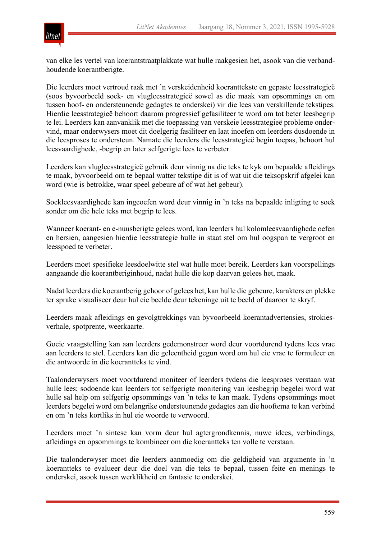

van elke les vertel van koerantstraatplakkate wat hulle raakgesien het, asook van die verbandhoudende koerantberigte.

Die leerders moet vertroud raak met 'n verskeidenheid koeranttekste en gepaste leesstrategieë (soos byvoorbeeld soek- en vlugleesstrategieë sowel as die maak van opsommings en om tussen hoof- en ondersteunende gedagtes te onderskei) vir die lees van verskillende tekstipes. Hierdie leesstrategieë behoort daarom progressief gefasiliteer te word om tot beter leesbegrip te lei. Leerders kan aanvanklik met die toepassing van verskeie leesstrategieë probleme ondervind, maar onderwysers moet dit doelgerig fasiliteer en laat inoefen om leerders dusdoende in die leesproses te ondersteun. Namate die leerders die leesstrategieë begin toepas, behoort hul leesvaardighede, -begrip en later selfgerigte lees te verbeter.

Leerders kan vlugleesstrategieë gebruik deur vinnig na die teks te kyk om bepaalde afleidings te maak, byvoorbeeld om te bepaal watter tekstipe dit is of wat uit die teksopskrif afgelei kan word (wie is betrokke, waar speel gebeure af of wat het gebeur).

Soekleesvaardighede kan ingeoefen word deur vinnig in 'n teks na bepaalde inligting te soek sonder om die hele teks met begrip te lees.

Wanneer koerant- en e-nuusberigte gelees word, kan leerders hul kolomleesvaardighede oefen en hersien, aangesien hierdie leesstrategie hulle in staat stel om hul oogspan te vergroot en leesspoed te verbeter.

Leerders moet spesifieke leesdoelwitte stel wat hulle moet bereik. Leerders kan voorspellings aangaande die koerantberiginhoud, nadat hulle die kop daarvan gelees het, maak.

Nadat leerders die koerantberig gehoor of gelees het, kan hulle die gebeure, karakters en plekke ter sprake visualiseer deur hul eie beelde deur tekeninge uit te beeld of daaroor te skryf.

Leerders maak afleidings en gevolgtrekkings van byvoorbeeld koerantadvertensies, strokiesverhale, spotprente, weerkaarte.

Goeie vraagstelling kan aan leerders gedemonstreer word deur voortdurend tydens lees vrae aan leerders te stel. Leerders kan die geleentheid gegun word om hul eie vrae te formuleer en die antwoorde in die koerantteks te vind.

Taalonderwysers moet voortdurend moniteer of leerders tydens die leesproses verstaan wat hulle lees; sodoende kan leerders tot selfgerigte monitering van leesbegrip begelei word wat hulle sal help om selfgerig opsommings van 'n teks te kan maak. Tydens opsommings moet leerders begelei word om belangrike ondersteunende gedagtes aan die hooftema te kan verbind en om 'n teks kortliks in hul eie woorde te verwoord.

Leerders moet 'n sintese kan vorm deur hul agtergrondkennis, nuwe idees, verbindings, afleidings en opsommings te kombineer om die koerantteks ten volle te verstaan.

Die taalonderwyser moet die leerders aanmoedig om die geldigheid van argumente in 'n koerantteks te evalueer deur die doel van die teks te bepaal, tussen feite en menings te onderskei, asook tussen werklikheid en fantasie te onderskei.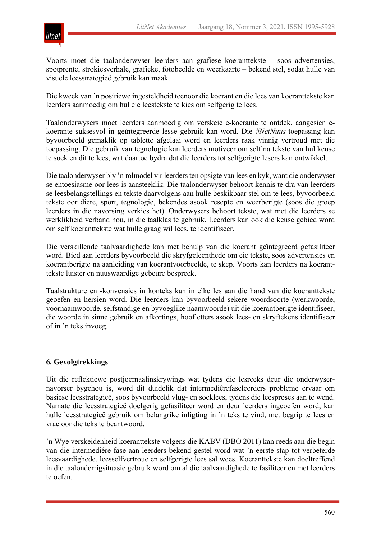

Voorts moet die taalonderwyser leerders aan grafiese koeranttekste – soos advertensies, spotprente, strokiesverhale, grafieke, fotobeelde en weerkaarte – bekend stel, sodat hulle van visuele leesstrategieë gebruik kan maak.

Die kweek van 'n positiewe ingesteldheid teenoor die koerant en die lees van koeranttekste kan leerders aanmoedig om hul eie leestekste te kies om selfgerig te lees.

Taalonderwysers moet leerders aanmoedig om verskeie e-koerante te ontdek, aangesien ekoerante suksesvol in geïntegreerde lesse gebruik kan word. Die *#NetNuus*-toepassing kan byvoorbeeld gemaklik op tablette afgelaai word en leerders raak vinnig vertroud met die toepassing. Die gebruik van tegnologie kan leerders motiveer om self na tekste van hul keuse te soek en dit te lees, wat daartoe bydra dat die leerders tot selfgerigte lesers kan ontwikkel.

Die taalonderwyser bly 'n rolmodel vir leerders ten opsigte van lees en kyk, want die onderwyser se entoesiasme oor lees is aansteeklik. Die taalonderwyser behoort kennis te dra van leerders se leesbelangstellings en tekste daarvolgens aan hulle beskikbaar stel om te lees, byvoorbeeld tekste oor diere, sport, tegnologie, bekendes asook resepte en weerberigte (soos die groep leerders in die navorsing verkies het). Onderwysers behoort tekste, wat met die leerders se werklikheid verband hou, in die taalklas te gebruik. Leerders kan ook die keuse gebied word om self koeranttekste wat hulle graag wil lees, te identifiseer.

Die verskillende taalvaardighede kan met behulp van die koerant geïntegreerd gefasiliteer word. Bied aan leerders byvoorbeeld die skryfgeleenthede om eie tekste, soos advertensies en koerantberigte na aanleiding van koerantvoorbeelde, te skep. Voorts kan leerders na koeranttekste luister en nuuswaardige gebeure bespreek.

Taalstrukture en -konvensies in konteks kan in elke les aan die hand van die koeranttekste geoefen en hersien word. Die leerders kan byvoorbeeld sekere woordsoorte (werkwoorde, voornaamwoorde, selfstandige en byvoeglike naamwoorde) uit die koerantberigte identifiseer, die woorde in sinne gebruik en afkortings, hoofletters asook lees- en skryftekens identifiseer of in 'n teks invoeg.

#### **6. Gevolgtrekkings**

Uit die reflektiewe postjoernaalinskrywings wat tydens die lesreeks deur die onderwysernavorser bygehou is, word dit duidelik dat intermediêrefaseleerders probleme ervaar om basiese leesstrategieë, soos byvoorbeeld vlug- en soeklees, tydens die leesproses aan te wend. Namate die leesstrategieë doelgerig gefasiliteer word en deur leerders ingeoefen word, kan hulle leesstrategieë gebruik om belangrike inligting in 'n teks te vind, met begrip te lees en vrae oor die teks te beantwoord.

'n Wye verskeidenheid koeranttekste volgens die KABV (DBO 2011) kan reeds aan die begin van die intermediêre fase aan leerders bekend gestel word wat 'n eerste stap tot verbeterde leesvaardighede, leesselfvertroue en selfgerigte lees sal wees. Koeranttekste kan doeltreffend in die taalonderrigsituasie gebruik word om al die taalvaardighede te fasiliteer en met leerders te oefen.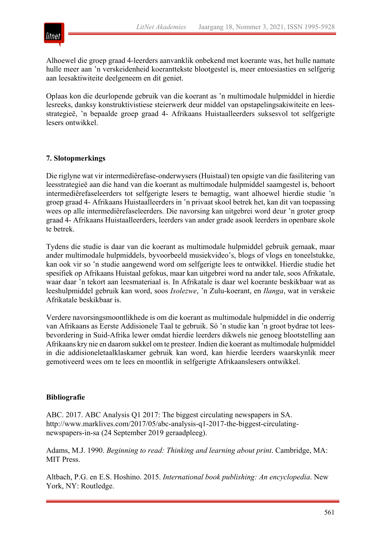

Alhoewel die groep graad 4-leerders aanvanklik onbekend met koerante was, het hulle namate hulle meer aan 'n verskeidenheid koeranttekste blootgestel is, meer entoesiasties en selfgerig aan leesaktiwiteite deelgeneem en dit geniet.

Oplaas kon die deurlopende gebruik van die koerant as 'n multimodale hulpmiddel in hierdie lesreeks, danksy konstruktivistiese steierwerk deur middel van opstapelingsakiwiteite en leesstrategieë, 'n bepaalde groep graad 4- Afrikaans Huistaalleerders suksesvol tot selfgerigte lesers ontwikkel.

#### **7. Slotopmerkings**

Die riglyne wat vir intermediêrefase-onderwysers (Huistaal) ten opsigte van die fasilitering van leesstrategieë aan die hand van die koerant as multimodale hulpmiddel saamgestel is, behoort intermediêrefaseleerders tot selfgerigte lesers te bemagtig, want alhoewel hierdie studie 'n groep graad 4- Afrikaans Huistaalleerders in 'n privaat skool betrek het, kan dit van toepassing wees op alle intermediêrefaseleerders. Die navorsing kan uitgebrei word deur 'n groter groep graad 4- Afrikaans Huistaalleerders, leerders van ander grade asook leerders in openbare skole te betrek.

Tydens die studie is daar van die koerant as multimodale hulpmiddel gebruik gemaak, maar ander multimodale hulpmiddels, byvoorbeeld musiekvideo's, blogs of vlogs en toneelstukke, kan ook vir so 'n studie aangewend word om selfgerigte lees te ontwikkel. Hierdie studie het spesifiek op Afrikaans Huistaal gefokus, maar kan uitgebrei word na ander tale, soos Afrikatale, waar daar 'n tekort aan leesmateriaal is. In Afrikatale is daar wel koerante beskikbaar wat as leeshulpmiddel gebruik kan word, soos *Isolezwe*, 'n Zulu-koerant, en *Ilanga*, wat in verskeie Afrikatale beskikbaar is.

Verdere navorsingsmoontlikhede is om die koerant as multimodale hulpmiddel in die onderrig van Afrikaans as Eerste Addisionele Taal te gebruik. Só 'n studie kan 'n groot bydrae tot leesbevordering in Suid-Afrika lewer omdat hierdie leerders dikwels nie genoeg blootstelling aan Afrikaans kry nie en daarom sukkel om te presteer. Indien die koerant as multimodale hulpmiddel in die addisioneletaalklaskamer gebruik kan word, kan hierdie leerders waarskynlik meer gemotiveerd wees om te lees en moontlik in selfgerigte Afrikaanslesers ontwikkel.

#### **Bibliografie**

ABC. 2017. ABC Analysis Q1 2017: The biggest circulating newspapers in SA. http://www.marklives.com/2017/05/abc-analysis-q1-2017-the-biggest-circulatingnewspapers-in-sa (24 September 2019 geraadpleeg).

Adams, M.J. 1990. *Beginning to read: Thinking and learning about print*. Cambridge, MA: MIT Press.

Altbach, P.G. en E.S. Hoshino. 2015. *International book publishing: An encyclopedia*. New York, NY: Routledge.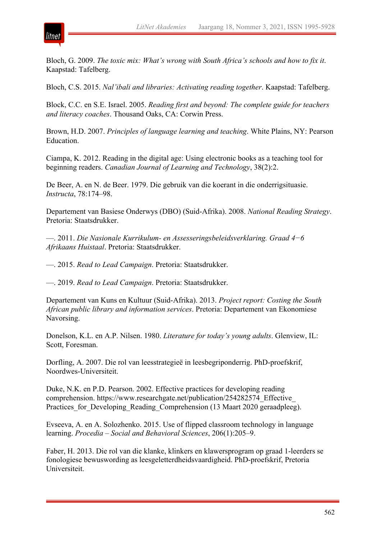



Bloch, G. 2009. *The toxic mix: What's wrong with South Africa's schools and how to fix it*. Kaapstad: Tafelberg.

Bloch, C.S. 2015. *Nal'ibali and libraries: Activating reading together*. Kaapstad: Tafelberg.

Block, C.C. en S.E. Israel. 2005. *Reading first and beyond: The complete guide for teachers and literacy coaches*. Thousand Oaks, CA: Corwin Press.

Brown, H.D. 2007. *Principles of language learning and teaching*. White Plains, NY: Pearson Education.

Ciampa, K. 2012. Reading in the digital age: Using electronic books as a teaching tool for beginning readers. *Canadian Journal of Learning and Technology*, 38(2):2.

De Beer, A. en N. de Beer. 1979. Die gebruik van die koerant in die onderrigsituasie. *Instructa*, 78:174–98.

Departement van Basiese Onderwys (DBO) (Suid-Afrika). 2008. *National Reading Strategy*. Pretoria: Staatsdrukker.

—. 2011. *Die Nasionale Kurrikulum- en Assesseringsbeleidsverklaring. Graad 4−6 Afrikaans Huistaal*. Pretoria: Staatsdrukker.

—. 2015. *Read to Lead Campaign*. Pretoria: Staatsdrukker.

—. 2019. *Read to Lead Campaign*. Pretoria: Staatsdrukker.

Departement van Kuns en Kultuur (Suid-Afrika). 2013. *Project report: Costing the South African public library and information services*. Pretoria: Departement van Ekonomiese Navorsing.

Donelson, K.L. en A.P. Nilsen. 1980. *Literature for today's young adults*. Glenview, IL: Scott, Foresman.

Dorfling, A. 2007. Die rol van leesstrategieë in leesbegriponderrig. PhD-proefskrif, Noordwes-Universiteit.

Duke, N.K. en P.D. Pearson. 2002. Effective practices for developing reading comprehension. https://www.researchgate.net/publication/254282574\_Effective\_ Practices for Developing Reading Comprehension (13 Maart 2020 geraadpleeg).

Evseeva, A. en A. Solozhenko. 2015. Use of flipped classroom technology in language learning. *Procedia – Social and Behavioral Sciences*, 206(1):205–9.

Faber, H. 2013. Die rol van die klanke, klinkers en klawersprogram op graad 1-leerders se fonologiese bewuswording as leesgeletterdheidsvaardigheid. PhD-proefskrif, Pretoria Universiteit.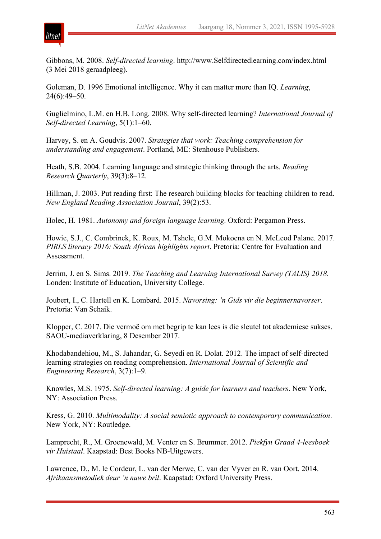

Gibbons, M. 2008. *Self-directed learning*. http://www.Selfdirectedlearning.com/index.html (3 Mei 2018 geraadpleeg).

Goleman, D. 1996 Emotional intelligence. Why it can matter more than IQ. *Learning*, 24(6):49–50.

Guglielmino, L.M. en H.B. Long. 2008. Why self-directed learning? *International Journal of Self-directed Learning*, 5(1):1–60.

Harvey, S. en A. Goudvis. 2007. *Strategies that work: Teaching comprehension for understanding and engagement*. Portland, ME: Stenhouse Publishers.

Heath, S.B. 2004. Learning language and strategic thinking through the arts. *Reading Research Quarterly*, 39(3):8–12.

Hillman, J. 2003. Put reading first: The research building blocks for teaching children to read. *New England Reading Association Journal*, 39(2):53.

Holec, H. 1981. *Autonomy and foreign language learning*. Oxford: Pergamon Press.

Howie, S.J., C. Combrinck, K. Roux, M. Tshele, G.M. Mokoena en N. McLeod Palane. 2017. *PIRLS literacy 2016: South African highlights report*. Pretoria: Centre for Evaluation and Assessment.

Jerrim, J. en S. Sims. 2019. *The Teaching and Learning International Survey (TALIS) 2018.* Londen: Institute of Education, University College.

Joubert, I., C. Hartell en K. Lombard. 2015. *Navorsing: 'n Gids vir die beginnernavorser*. Pretoria: Van Schaik.

Klopper, C. 2017. Die vermoë om met begrip te kan lees is die sleutel tot akademiese sukses. SAOU-mediaverklaring, 8 Desember 2017.

Khodabandehiou, M., S. Jahandar, G. Seyedi en R. Dolat. 2012. The impact of self-directed learning strategies on reading comprehension. *International Journal of Scientific and Engineering Research*, 3(7):1–9.

Knowles, M.S. 1975. *Self-directed learning: A guide for learners and teachers*. New York, NY: Association Press.

Kress, G. 2010. *Multimodality: A social semiotic approach to contemporary communication*. New York, NY: Routledge.

Lamprecht, R., M. Groenewald, M. Venter en S. Brummer. 2012. *Piekfyn Graad 4-leesboek vir Huistaal*. Kaapstad: Best Books NB-Uitgewers.

Lawrence, D., M. le Cordeur, L. van der Merwe, C. van der Vyver en R. van Oort. 2014. *Afrikaansmetodiek deur 'n nuwe bril*. Kaapstad: Oxford University Press.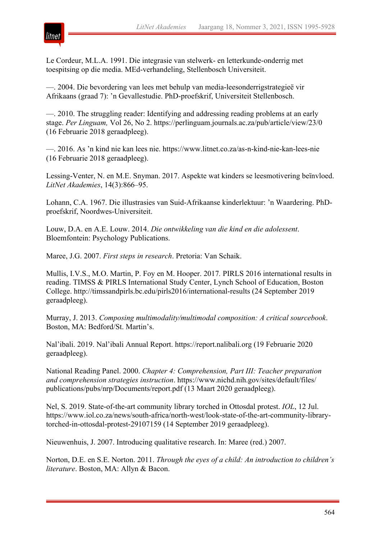

Le Cordeur, M.L.A. 1991. Die integrasie van stelwerk- en letterkunde-onderrig met toespitsing op die media. MEd-verhandeling, Stellenbosch Universiteit.

—. 2004. Die bevordering van lees met behulp van media-leesonderrigstrategieë vir Afrikaans (graad 7): 'n Gevallestudie. PhD-proefskrif, Universiteit Stellenbosch.

—. 2010. The struggling reader: Identifying and addressing reading problems at an early stage. *Per Linguam,* Vol 26, No 2. https://perlinguam.journals.ac.za/pub/article/view/23/0 (16 Februarie 2018 geraadpleeg).

—. 2016. As 'n kind nie kan lees nie. https://www.litnet.co.za/as-n-kind-nie-kan-lees-nie (16 Februarie 2018 geraadpleeg).

Lessing-Venter, N. en M.E. Snyman. 2017. Aspekte wat kinders se leesmotivering beïnvloed. *LitNet Akademies*, 14(3):866–95.

Lohann, C.A. 1967. Die illustrasies van Suid-Afrikaanse kinderlektuur: 'n Waardering. PhDproefskrif, Noordwes-Universiteit.

Louw, D.A. en A.E. Louw. 2014. *Die ontwikkeling van die kind en die adolessent*. Bloemfontein: Psychology Publications.

Maree, J.G. 2007. *First steps in research*. Pretoria: Van Schaik.

Mullis, I.V.S., M.O. Martin, P. Foy en M. Hooper. 2017*.* PIRLS 2016 international results in reading. TIMSS & PIRLS International Study Center, Lynch School of Education, Boston College. http://timssandpirls.bc.edu/pirls2016/international-results (24 September 2019 geraadpleeg).

Murray, J. 2013. *Composing multimodality/multimodal composition: A critical sourcebook*. Boston, MA: Bedford/St. Martin's.

Nal'ibali. 2019. Nal'ibali Annual Report. https://report.nalibali.org (19 Februarie 2020 geraadpleeg).

National Reading Panel. 2000. *Chapter 4: Comprehension, Part III: Teacher preparation and comprehension strategies instruction*. https://www.nichd.nih.gov/sites/default/files/ publications/pubs/nrp/Documents/report.pdf (13 Maart 2020 geraadpleeg).

Nel, S. 2019. State-of-the-art community library torched in Ottosdal protest. *IOL*, 12 Jul. https://www.iol.co.za/news/south-africa/north-west/look-state-of-the-art-community-librarytorched-in-ottosdal-protest-29107159 (14 September 2019 geraadpleeg).

Nieuwenhuis, J. 2007. Introducing qualitative research. In: Maree (red.) 2007.

Norton, D.E. en S.E. Norton. 2011. *Through the eyes of a child: An introduction to children's literature*. Boston, MA: Allyn & Bacon.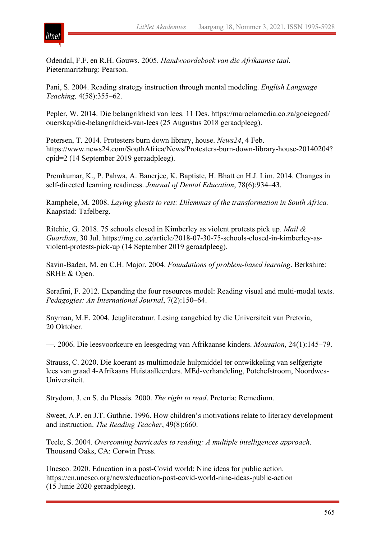

Odendal, F.F. en R.H. Gouws. 2005. *Handwoordeboek van die Afrikaanse taal*. Pietermaritzburg: Pearson.

Pani, S. 2004. Reading strategy instruction through mental modeling. *English Language Teaching,* 4(58):355–62.

Pepler, W. 2014. Die belangrikheid van lees. 11 Des. https://maroelamedia.co.za/goeiegoed/ ouerskap/die-belangrikheid-van-lees (25 Augustus 2018 geraadpleeg).

Petersen, T. 2014. Protesters burn down library, house. *News24*, 4 Feb. https://www.news24.com/SouthAfrica/News/Protesters-burn-down-library-house-20140204? cpid=2 (14 September 2019 geraadpleeg).

Premkumar, K., P. Pahwa, A. Banerjee, K. Baptiste, H. Bhatt en H.J. Lim. 2014. Changes in self-directed learning readiness. *Journal of Dental Education*, 78(6):934–43.

Ramphele, M. 2008. *Laying ghosts to rest: Dilemmas of the transformation in South Africa.* Kaapstad: Tafelberg.

Ritchie, G. 2018. 75 schools closed in Kimberley as violent protests pick up. *Mail & Guardian*, 30 Jul. https://mg.co.za/article/2018-07-30-75-schools-closed-in-kimberley-asviolent-protests-pick-up (14 September 2019 geraadpleeg).

Savin-Baden, M. en C.H. Major. 2004. *Foundations of problem-based learning*. Berkshire: SRHE & Open.

Serafini, F. 2012. Expanding the four resources model: Reading visual and multi-modal texts. *Pedagogies: An International Journal*, 7(2):150–64.

Snyman, M.E. 2004. Jeugliteratuur. Lesing aangebied by die Universiteit van Pretoria, 20 Oktober.

—. 2006. Die leesvoorkeure en leesgedrag van Afrikaanse kinders. *Mousaion*, 24(1):145–79.

Strauss, C. 2020. Die koerant as multimodale hulpmiddel ter ontwikkeling van selfgerigte lees van graad 4-Afrikaans Huistaalleerders. MEd-verhandeling, Potchefstroom, Noordwes-Universiteit.

Strydom, J. en S. du Plessis. 2000. *The right to read*. Pretoria: Remedium.

Sweet, A.P. en J.T. Guthrie. 1996. How children's motivations relate to literacy development and instruction. *The Reading Teacher*, 49(8):660.

Teele, S. 2004. *Overcoming barricades to reading: A multiple intelligences approach*. Thousand Oaks, CA: Corwin Press.

Unesco. 2020. Education in a post-Covid world: Nine ideas for public action. https://en.unesco.org/news/education-post-covid-world-nine-ideas-public-action (15 Junie 2020 geraadpleeg).